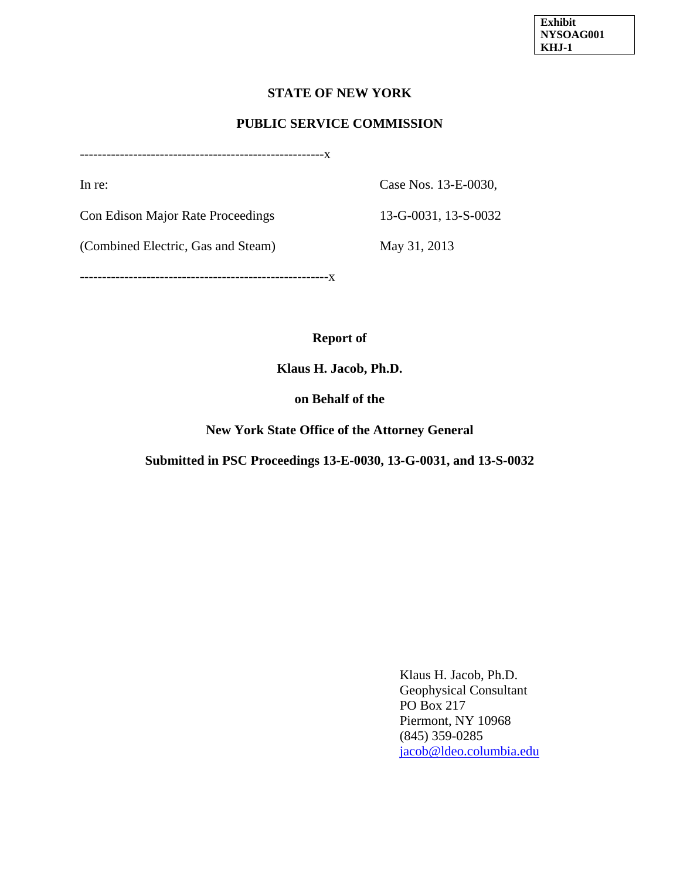### **STATE OF NEW YORK**

#### **PUBLIC SERVICE COMMISSION**

-------------------------------------------------------x

In re: Case Nos. 13-E-0030,

Con Edison Major Rate Proceedings 13-G-0031, 13-S-0032

(Combined Electric, Gas and Steam) May 31, 2013

--------------------------------------------------------x

### **Report of**

**Klaus H. Jacob, Ph.D.** 

#### **on Behalf of the**

**New York State Office of the Attorney General** 

#### **Submitted in PSC Proceedings 13-E-0030, 13-G-0031, and 13-S-0032**

Klaus H. Jacob, Ph.D. Geophysical Consultant PO Box 217 Piermont, NY 10968 (845) 359-0285 jacob@ldeo.columbia.edu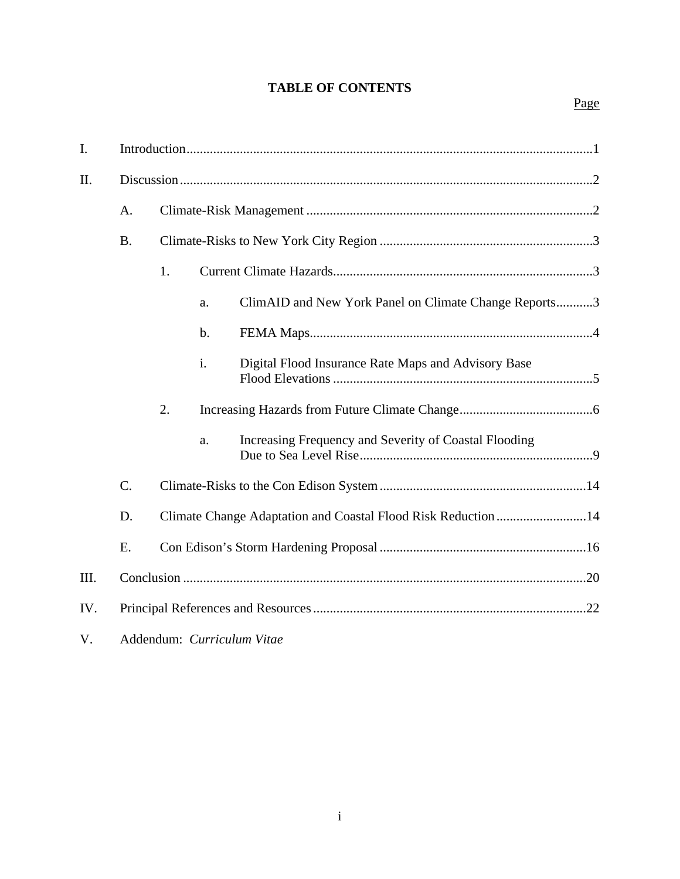# **TABLE OF CONTENTS**

| I.   |           |                                                               |    |                                                       |  |  |
|------|-----------|---------------------------------------------------------------|----|-------------------------------------------------------|--|--|
| Π.   |           |                                                               |    |                                                       |  |  |
|      | A.        |                                                               |    |                                                       |  |  |
|      | <b>B.</b> |                                                               |    |                                                       |  |  |
|      |           | 1.                                                            |    |                                                       |  |  |
|      |           |                                                               | a. | ClimAID and New York Panel on Climate Change Reports3 |  |  |
|      |           |                                                               | b. |                                                       |  |  |
|      |           |                                                               | i. | Digital Flood Insurance Rate Maps and Advisory Base   |  |  |
|      |           | 2.                                                            |    |                                                       |  |  |
|      |           |                                                               | a. | Increasing Frequency and Severity of Coastal Flooding |  |  |
|      | $C$ .     |                                                               |    |                                                       |  |  |
|      | D.        | Climate Change Adaptation and Coastal Flood Risk Reduction 14 |    |                                                       |  |  |
|      | E.        |                                                               |    |                                                       |  |  |
| III. |           |                                                               |    |                                                       |  |  |
| IV.  |           |                                                               |    |                                                       |  |  |

V. Addendum: *Curriculum Vitae*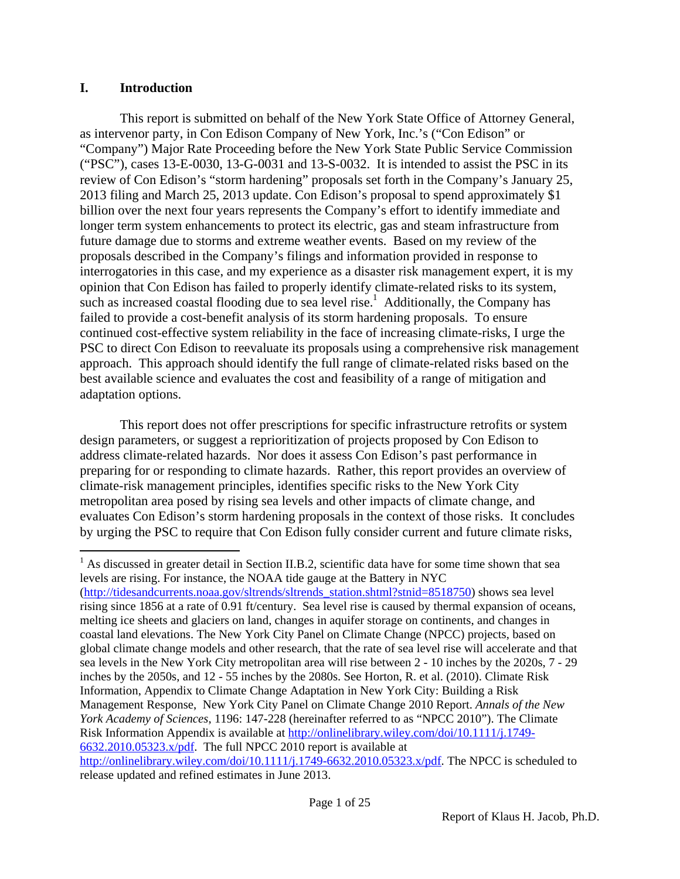### **I. Introduction**

 $\overline{a}$ 

This report is submitted on behalf of the New York State Office of Attorney General, as intervenor party, in Con Edison Company of New York, Inc.'s ("Con Edison" or "Company") Major Rate Proceeding before the New York State Public Service Commission ("PSC"), cases 13-E-0030, 13-G-0031 and 13-S-0032. It is intended to assist the PSC in its review of Con Edison's "storm hardening" proposals set forth in the Company's January 25, 2013 filing and March 25, 2013 update. Con Edison's proposal to spend approximately \$1 billion over the next four years represents the Company's effort to identify immediate and longer term system enhancements to protect its electric, gas and steam infrastructure from future damage due to storms and extreme weather events. Based on my review of the proposals described in the Company's filings and information provided in response to interrogatories in this case, and my experience as a disaster risk management expert, it is my opinion that Con Edison has failed to properly identify climate-related risks to its system, such as increased coastal flooding due to sea level rise.<sup>1</sup> Additionally, the Company has failed to provide a cost-benefit analysis of its storm hardening proposals. To ensure continued cost-effective system reliability in the face of increasing climate-risks, I urge the PSC to direct Con Edison to reevaluate its proposals using a comprehensive risk management approach. This approach should identify the full range of climate-related risks based on the best available science and evaluates the cost and feasibility of a range of mitigation and adaptation options.

This report does not offer prescriptions for specific infrastructure retrofits or system design parameters, or suggest a reprioritization of projects proposed by Con Edison to address climate-related hazards. Nor does it assess Con Edison's past performance in preparing for or responding to climate hazards. Rather, this report provides an overview of climate-risk management principles, identifies specific risks to the New York City metropolitan area posed by rising sea levels and other impacts of climate change, and evaluates Con Edison's storm hardening proposals in the context of those risks. It concludes by urging the PSC to require that Con Edison fully consider current and future climate risks,

<sup>1</sup> As discussed in greater detail in Section II.B.2, scientific data have for some time shown that sea levels are rising. For instance, the NOAA tide gauge at the Battery in NYC (http://tidesandcurrents.noaa.gov/sltrends/sltrends\_station.shtml?stnid=8518750) shows sea level rising since 1856 at a rate of 0.91 ft/century. Sea level rise is caused by thermal expansion of oceans, melting ice sheets and glaciers on land, changes in aquifer storage on continents, and changes in coastal land elevations. The New York City Panel on Climate Change (NPCC) projects, based on global climate change models and other research, that the rate of sea level rise will accelerate and that sea levels in the New York City metropolitan area will rise between 2 - 10 inches by the 2020s, 7 - 29 inches by the 2050s, and 12 - 55 inches by the 2080s. See Horton, R. et al. (2010). Climate Risk Information, Appendix to Climate Change Adaptation in New York City: Building a Risk Management Response, New York City Panel on Climate Change 2010 Report. *Annals of the New York Academy of Sciences*, 1196: 147-228 (hereinafter referred to as "NPCC 2010"). The Climate Risk Information Appendix is available at http://onlinelibrary.wiley.com/doi/10.1111/j.1749- 6632.2010.05323.x/pdf. The full NPCC 2010 report is available at http://onlinelibrary.wiley.com/doi/10.1111/j.1749-6632.2010.05323.x/pdf. The NPCC is scheduled to

release updated and refined estimates in June 2013.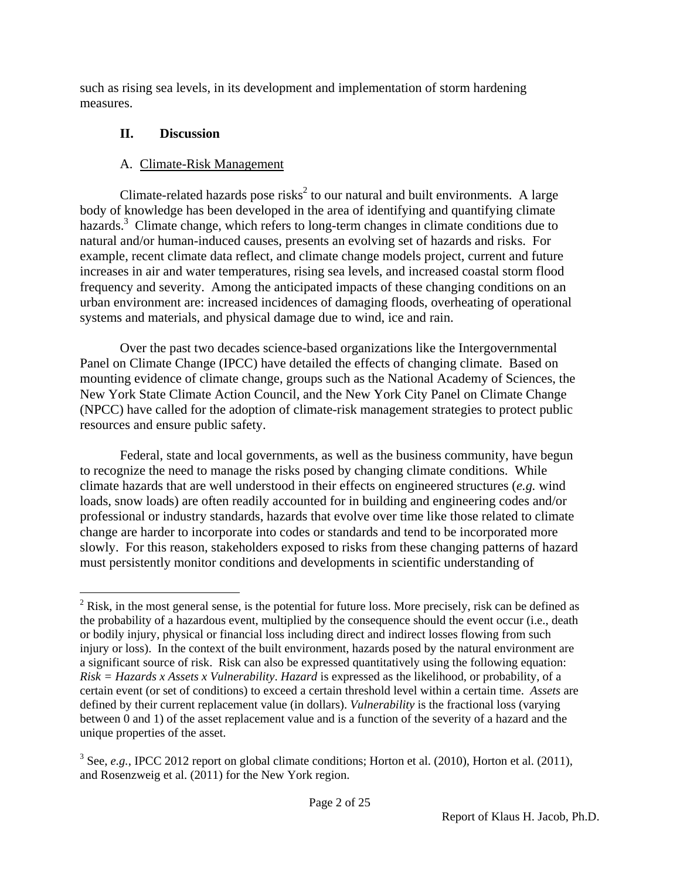such as rising sea levels, in its development and implementation of storm hardening measures.

# **II. Discussion**

# A. Climate-Risk Management

Climate-related hazards pose risks<sup>2</sup> to our natural and built environments. A large body of knowledge has been developed in the area of identifying and quantifying climate hazards.<sup>3</sup> Climate change, which refers to long-term changes in climate conditions due to natural and/or human-induced causes, presents an evolving set of hazards and risks. For example, recent climate data reflect, and climate change models project, current and future increases in air and water temperatures, rising sea levels, and increased coastal storm flood frequency and severity. Among the anticipated impacts of these changing conditions on an urban environment are: increased incidences of damaging floods, overheating of operational systems and materials, and physical damage due to wind, ice and rain.

Over the past two decades science-based organizations like the Intergovernmental Panel on Climate Change (IPCC) have detailed the effects of changing climate. Based on mounting evidence of climate change, groups such as the National Academy of Sciences, the New York State Climate Action Council, and the New York City Panel on Climate Change (NPCC) have called for the adoption of climate-risk management strategies to protect public resources and ensure public safety.

Federal, state and local governments, as well as the business community, have begun to recognize the need to manage the risks posed by changing climate conditions. While climate hazards that are well understood in their effects on engineered structures (*e.g.* wind loads, snow loads) are often readily accounted for in building and engineering codes and/or professional or industry standards, hazards that evolve over time like those related to climate change are harder to incorporate into codes or standards and tend to be incorporated more slowly. For this reason, stakeholders exposed to risks from these changing patterns of hazard must persistently monitor conditions and developments in scientific understanding of

 $\overline{a}$  $2$  Risk, in the most general sense, is the potential for future loss. More precisely, risk can be defined as the probability of a hazardous event, multiplied by the consequence should the event occur (i.e., death or bodily injury, physical or financial loss including direct and indirect losses flowing from such injury or loss). In the context of the built environment, hazards posed by the natural environment are a significant source of risk. Risk can also be expressed quantitatively using the following equation: *Risk = Hazards x Assets x Vulnerability*. *Hazard* is expressed as the likelihood, or probability, of a certain event (or set of conditions) to exceed a certain threshold level within a certain time. *Assets* are defined by their current replacement value (in dollars). *Vulnerability* is the fractional loss (varying between 0 and 1) of the asset replacement value and is a function of the severity of a hazard and the unique properties of the asset.

 $3$  See, *e.g.*, IPCC 2012 report on global climate conditions; Horton et al. (2010), Horton et al. (2011), and Rosenzweig et al. (2011) for the New York region.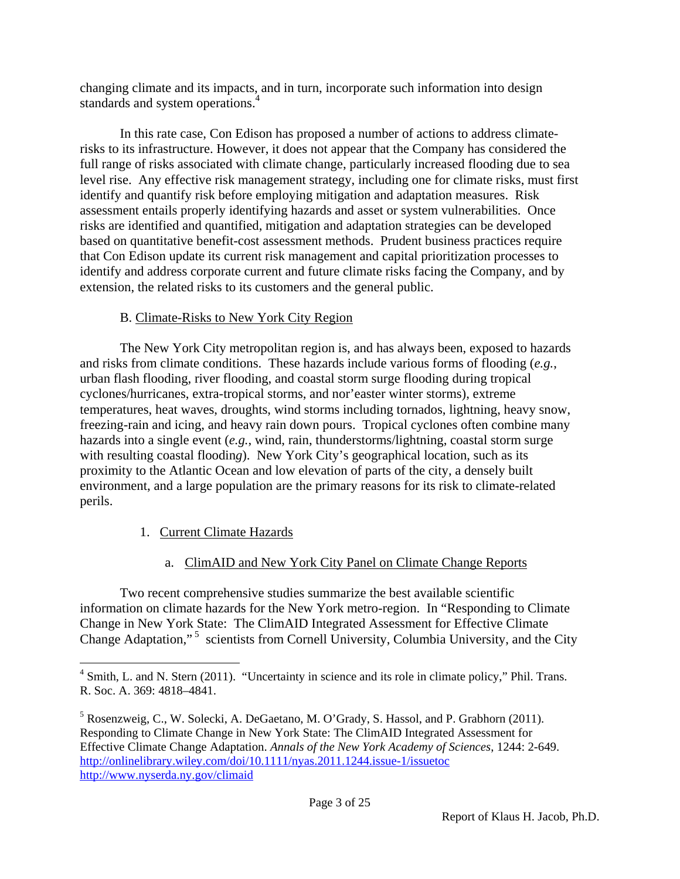changing climate and its impacts, and in turn, incorporate such information into design standards and system operations.<sup>4</sup>

In this rate case, Con Edison has proposed a number of actions to address climaterisks to its infrastructure. However, it does not appear that the Company has considered the full range of risks associated with climate change, particularly increased flooding due to sea level rise. Any effective risk management strategy, including one for climate risks, must first identify and quantify risk before employing mitigation and adaptation measures. Risk assessment entails properly identifying hazards and asset or system vulnerabilities. Once risks are identified and quantified, mitigation and adaptation strategies can be developed based on quantitative benefit-cost assessment methods. Prudent business practices require that Con Edison update its current risk management and capital prioritization processes to identify and address corporate current and future climate risks facing the Company, and by extension, the related risks to its customers and the general public.

## B. Climate-Risks to New York City Region

The New York City metropolitan region is, and has always been, exposed to hazards and risks from climate conditions. These hazards include various forms of flooding (*e.g.*, urban flash flooding, river flooding, and coastal storm surge flooding during tropical cyclones/hurricanes, extra-tropical storms, and nor'easter winter storms), extreme temperatures, heat waves, droughts, wind storms including tornados, lightning, heavy snow, freezing-rain and icing, and heavy rain down pours. Tropical cyclones often combine many hazards into a single event (*e.g.*, wind, rain, thunderstorms/lightning, coastal storm surge with resulting coastal floodin*g*). New York City's geographical location, such as its proximity to the Atlantic Ocean and low elevation of parts of the city, a densely built environment, and a large population are the primary reasons for its risk to climate-related perils.

## 1. Current Climate Hazards

 $\overline{a}$ 

## a. ClimAID and New York City Panel on Climate Change Reports

Two recent comprehensive studies summarize the best available scientific information on climate hazards for the New York metro-region. In "Responding to Climate Change in New York State: The ClimAID Integrated Assessment for Effective Climate Change Adaptation,"<sup>5</sup> scientists from Cornell University, Columbia University, and the City

<sup>&</sup>lt;sup>4</sup> Smith, L. and N. Stern (2011). "Uncertainty in science and its role in climate policy," Phil. Trans. R. Soc. A. 369: 4818–4841.

<sup>&</sup>lt;sup>5</sup> Rosenzweig, C., W. Solecki, A. DeGaetano, M. O'Grady, S. Hassol, and P. Grabhorn (2011). Responding to Climate Change in New York State: The ClimAID Integrated Assessment for Effective Climate Change Adaptation. *Annals of the New York Academy of Sciences*, 1244: 2-649. http://onlinelibrary.wiley.com/doi/10.1111/nyas.2011.1244.issue-1/issuetoc http://www.nyserda.ny.gov/climaid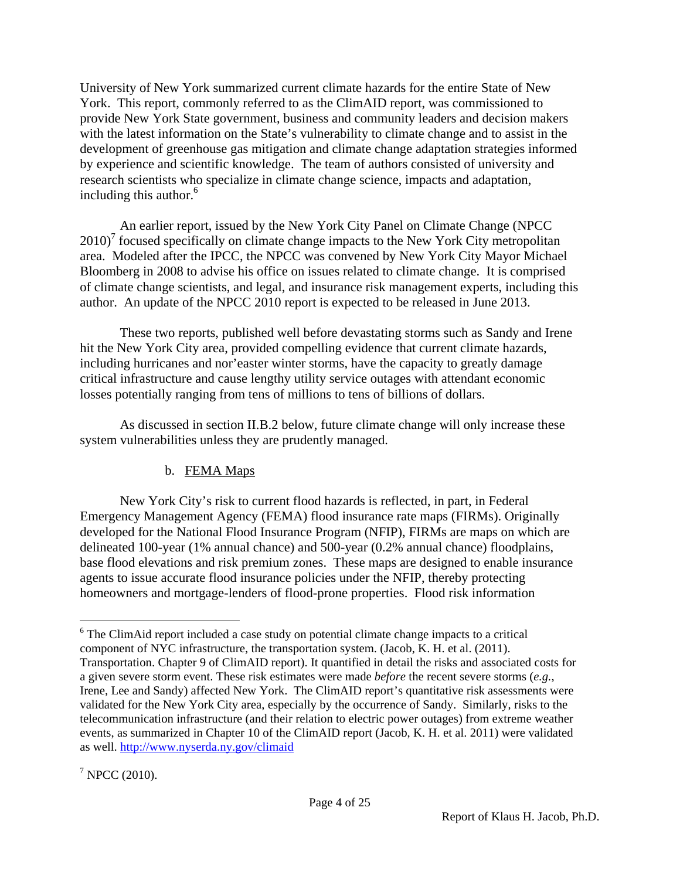University of New York summarized current climate hazards for the entire State of New York. This report, commonly referred to as the ClimAID report, was commissioned to provide New York State government, business and community leaders and decision makers with the latest information on the State's vulnerability to climate change and to assist in the development of greenhouse gas mitigation and climate change adaptation strategies informed by experience and scientific knowledge. The team of authors consisted of university and research scientists who specialize in climate change science, impacts and adaptation, including this author.<sup>6</sup>

An earlier report, issued by the New York City Panel on Climate Change (NPCC  $2010$ <sup>7</sup> focused specifically on climate change impacts to the New York City metropolitan area. Modeled after the IPCC, the NPCC was convened by New York City Mayor Michael Bloomberg in 2008 to advise his office on issues related to climate change. It is comprised of climate change scientists, and legal, and insurance risk management experts, including this author. An update of the NPCC 2010 report is expected to be released in June 2013.

These two reports, published well before devastating storms such as Sandy and Irene hit the New York City area, provided compelling evidence that current climate hazards, including hurricanes and nor'easter winter storms, have the capacity to greatly damage critical infrastructure and cause lengthy utility service outages with attendant economic losses potentially ranging from tens of millions to tens of billions of dollars.

As discussed in section II.B.2 below, future climate change will only increase these system vulnerabilities unless they are prudently managed.

## b. FEMA Maps

New York City's risk to current flood hazards is reflected, in part, in Federal Emergency Management Agency (FEMA) flood insurance rate maps (FIRMs). Originally developed for the National Flood Insurance Program (NFIP), FIRMs are maps on which are delineated 100-year (1% annual chance) and 500-year (0.2% annual chance) floodplains, base flood elevations and risk premium zones. These maps are designed to enable insurance agents to issue accurate flood insurance policies under the NFIP, thereby protecting homeowners and mortgage-lenders of flood-prone properties. Flood risk information

 $\overline{a}$  $6$  The ClimAid report included a case study on potential climate change impacts to a critical component of NYC infrastructure, the transportation system. (Jacob, K. H. et al. (2011). Transportation. Chapter 9 of ClimAID report). It quantified in detail the risks and associated costs for a given severe storm event. These risk estimates were made *before* the recent severe storms (*e.g.*, Irene, Lee and Sandy) affected New York. The ClimAID report's quantitative risk assessments were validated for the New York City area, especially by the occurrence of Sandy. Similarly, risks to the telecommunication infrastructure (and their relation to electric power outages) from extreme weather events, as summarized in Chapter 10 of the ClimAID report (Jacob, K. H. et al. 2011) were validated as well. http://www.nyserda.ny.gov/climaid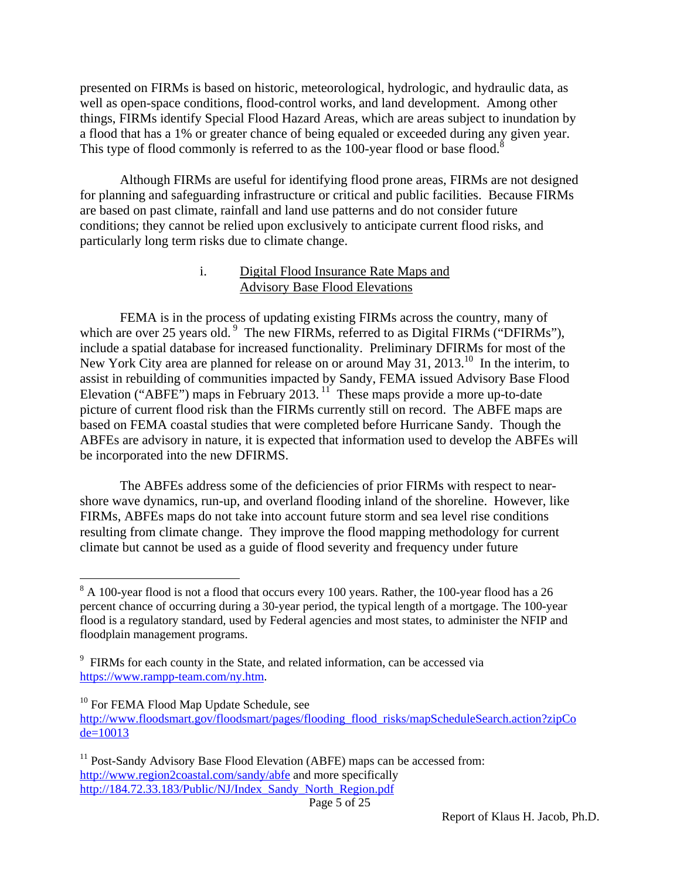presented on FIRMs is based on historic, meteorological, hydrologic, and hydraulic data, as well as open-space conditions, flood-control works, and land development. Among other things, FIRMs identify Special Flood Hazard Areas, which are areas subject to inundation by a flood that has a 1% or greater chance of being equaled or exceeded during any given year. This type of flood commonly is referred to as the 100-year flood or base flood.<sup>8</sup>

Although FIRMs are useful for identifying flood prone areas, FIRMs are not designed for planning and safeguarding infrastructure or critical and public facilities. Because FIRMs are based on past climate, rainfall and land use patterns and do not consider future conditions; they cannot be relied upon exclusively to anticipate current flood risks, and particularly long term risks due to climate change.

#### i. Digital Flood Insurance Rate Maps and Advisory Base Flood Elevations

FEMA is in the process of updating existing FIRMs across the country, many of which are over 25 years old.<sup>9</sup> The new FIRMs, referred to as Digital FIRMs ("DFIRMs"), include a spatial database for increased functionality. Preliminary DFIRMs for most of the New York City area are planned for release on or around May 31, 2013.<sup>10</sup> In the interim, to assist in rebuilding of communities impacted by Sandy, FEMA issued Advisory Base Flood Elevation ("ABFE") maps in February 2013.<sup>11</sup> These maps provide a more up-to-date picture of current flood risk than the FIRMs currently still on record. The ABFE maps are based on FEMA coastal studies that were completed before Hurricane Sandy. Though the ABFEs are advisory in nature, it is expected that information used to develop the ABFEs will be incorporated into the new DFIRMS.

The ABFEs address some of the deficiencies of prior FIRMs with respect to nearshore wave dynamics, run-up, and overland flooding inland of the shoreline. However, like FIRMs, ABFEs maps do not take into account future storm and sea level rise conditions resulting from climate change. They improve the flood mapping methodology for current climate but cannot be used as a guide of flood severity and frequency under future

 $\overline{a}$ 

 $8$  A 100-year flood is not a flood that occurs every 100 years. Rather, the 100-year flood has a 26 percent chance of occurring during a 30-year period, the typical length of a mortgage. The 100-year flood is a regulatory standard, used by Federal agencies and most states, to administer the NFIP and floodplain management programs.

<sup>&</sup>lt;sup>9</sup> FIRMs for each county in the State, and related information, can be accessed via https://www.rampp-team.com/ny.htm.

 $10$  For FEMA Flood Map Update Schedule, see

http://www.floodsmart.gov/floodsmart/pages/flooding\_flood\_risks/mapScheduleSearch.action?zipCo  $de=10013$ 

 $11$  Post-Sandy Advisory Base Flood Elevation (ABFE) maps can be accessed from: http://www.region2coastal.com/sandy/abfe and more specifically http://184.72.33.183/Public/NJ/Index\_Sandy\_North\_Region.pdf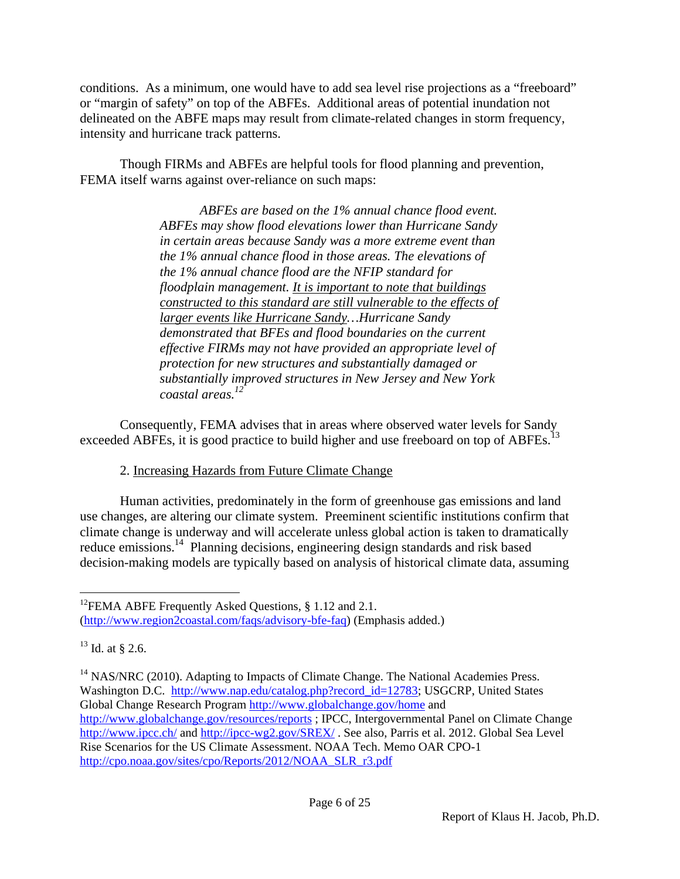conditions. As a minimum, one would have to add sea level rise projections as a "freeboard" or "margin of safety" on top of the ABFEs. Additional areas of potential inundation not delineated on the ABFE maps may result from climate-related changes in storm frequency, intensity and hurricane track patterns.

Though FIRMs and ABFEs are helpful tools for flood planning and prevention, FEMA itself warns against over-reliance on such maps:

> *ABFEs are based on the 1% annual chance flood event. ABFEs may show flood elevations lower than Hurricane Sandy in certain areas because Sandy was a more extreme event than the 1% annual chance flood in those areas. The elevations of the 1% annual chance flood are the NFIP standard for floodplain management. It is important to note that buildings constructed to this standard are still vulnerable to the effects of larger events like Hurricane Sandy…Hurricane Sandy demonstrated that BFEs and flood boundaries on the current effective FIRMs may not have provided an appropriate level of protection for new structures and substantially damaged or substantially improved structures in New Jersey and New York coastal areas.12*

Consequently, FEMA advises that in areas where observed water levels for Sandy exceeded ABFEs, it is good practice to build higher and use freeboard on top of ABFEs.<sup>13</sup>

## 2. Increasing Hazards from Future Climate Change

Human activities, predominately in the form of greenhouse gas emissions and land use changes, are altering our climate system. Preeminent scientific institutions confirm that climate change is underway and will accelerate unless global action is taken to dramatically reduce emissions.<sup>14</sup> Planning decisions, engineering design standards and risk based decision-making models are typically based on analysis of historical climate data, assuming

<sup>1</sup> <sup>12</sup>FEMA ABFE Frequently Asked Questions, § 1.12 and 2.1. (http://www.region2coastal.com/faqs/advisory-bfe-faq) (Emphasis added.)

 $^{13}$  Id. at § 2.6.

<sup>&</sup>lt;sup>14</sup> NAS/NRC (2010). Adapting to Impacts of Climate Change. The National Academies Press. Washington D.C. http://www.nap.edu/catalog.php?record\_id=12783; USGCRP, United States Global Change Research Program http://www.globalchange.gov/home and http://www.globalchange.gov/resources/reports ; IPCC, Intergovernmental Panel on Climate Change http://www.ipcc.ch/ and http://ipcc-wg2.gov/SREX/. See also, Parris et al. 2012. Global Sea Level Rise Scenarios for the US Climate Assessment. NOAA Tech. Memo OAR CPO-1 http://cpo.noaa.gov/sites/cpo/Reports/2012/NOAA\_SLR\_r3.pdf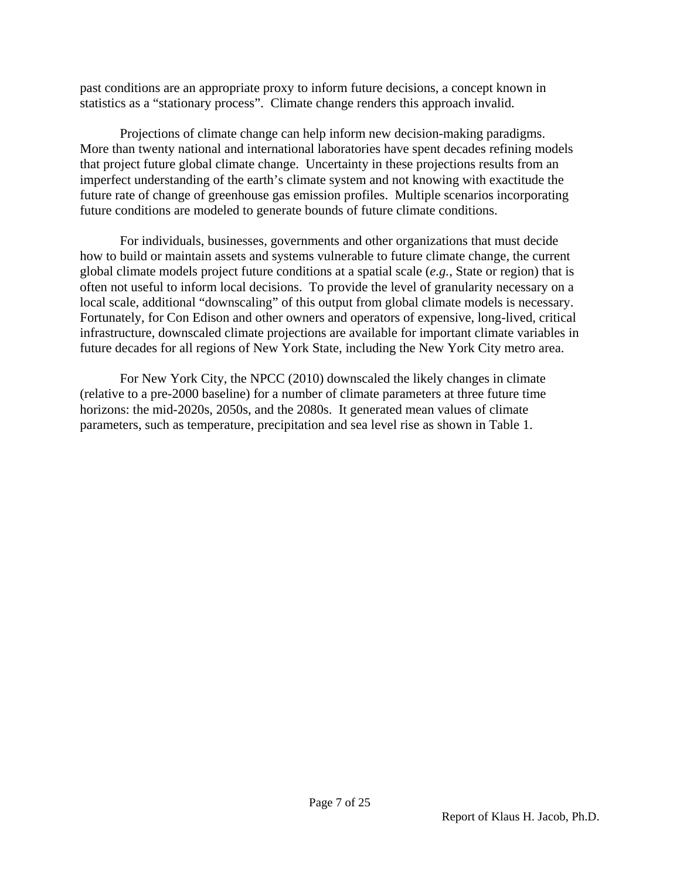past conditions are an appropriate proxy to inform future decisions, a concept known in statistics as a "stationary process". Climate change renders this approach invalid.

Projections of climate change can help inform new decision-making paradigms. More than twenty national and international laboratories have spent decades refining models that project future global climate change. Uncertainty in these projections results from an imperfect understanding of the earth's climate system and not knowing with exactitude the future rate of change of greenhouse gas emission profiles. Multiple scenarios incorporating future conditions are modeled to generate bounds of future climate conditions.

For individuals, businesses, governments and other organizations that must decide how to build or maintain assets and systems vulnerable to future climate change, the current global climate models project future conditions at a spatial scale (*e.g.*, State or region) that is often not useful to inform local decisions. To provide the level of granularity necessary on a local scale, additional "downscaling" of this output from global climate models is necessary. Fortunately, for Con Edison and other owners and operators of expensive, long-lived, critical infrastructure, downscaled climate projections are available for important climate variables in future decades for all regions of New York State, including the New York City metro area.

For New York City, the NPCC (2010) downscaled the likely changes in climate (relative to a pre-2000 baseline) for a number of climate parameters at three future time horizons: the mid-2020s, 2050s, and the 2080s. It generated mean values of climate parameters, such as temperature, precipitation and sea level rise as shown in Table 1.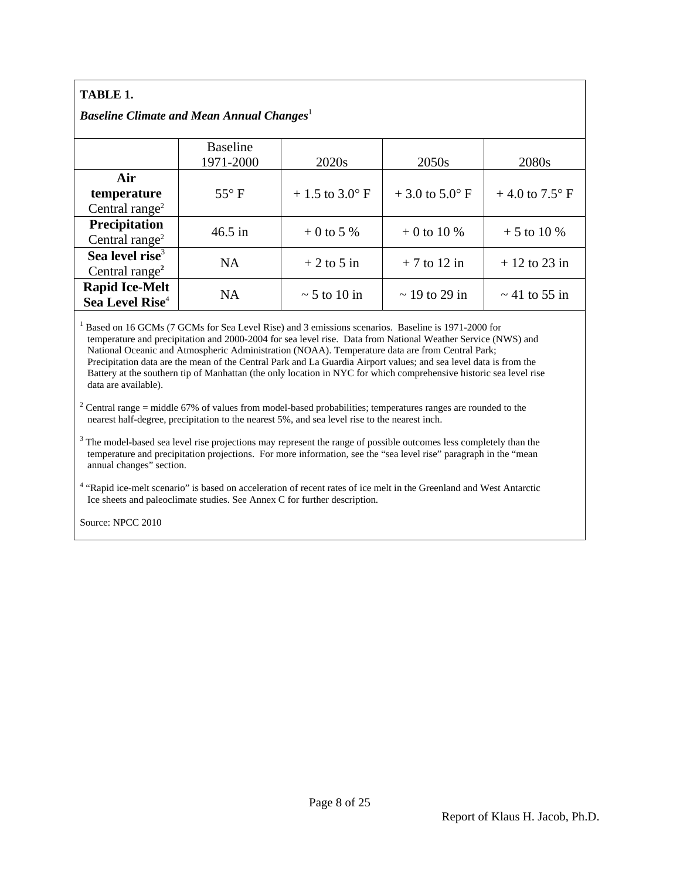### **TABLE 1.**

#### *Baseline Climate and Mean Annual Changes*<sup>1</sup>

|                             | <b>Baseline</b><br>1971-2000 | 2020 <sub>s</sub> | 2050s                     | 2080s                     |  |
|-----------------------------|------------------------------|-------------------|---------------------------|---------------------------|--|
| Air                         |                              |                   |                           |                           |  |
| temperature                 | $55^{\circ}$ F               | $+1.5$ to 3.0° F  | $+3.0$ to $5.0^{\circ}$ F | $+4.0$ to $7.5^{\circ}$ F |  |
| Central range <sup>2</sup>  |                              |                   |                           |                           |  |
| Precipitation               | $46.5$ in                    | $+0$ to 5 %       | $+0$ to 10 %              | $+5$ to 10 %              |  |
| Central range <sup>2</sup>  |                              |                   |                           |                           |  |
| Sea level rise <sup>3</sup> | <b>NA</b>                    | $+2$ to 5 in      | $+7$ to 12 in             | $+12$ to 23 in            |  |
| Central range <sup>2</sup>  |                              |                   |                           |                           |  |
| <b>Rapid Ice-Melt</b>       | <b>NA</b>                    | $\sim$ 5 to 10 in | $\sim$ 19 to 29 in        | $\sim$ 41 to 55 in        |  |
| Sea Level Rise <sup>4</sup> |                              |                   |                           |                           |  |

<sup>1</sup> Based on 16 GCMs (7 GCMs for Sea Level Rise) and 3 emissions scenarios. Baseline is 1971-2000 for temperature and precipitation and 2000-2004 for sea level rise. Data from National Weather Service (NWS) and National Oceanic and Atmospheric Administration (NOAA). Temperature data are from Central Park; Precipitation data are the mean of the Central Park and La Guardia Airport values; and sea level data is from the Battery at the southern tip of Manhattan (the only location in NYC for which comprehensive historic sea level rise data are available).

<sup>2</sup> Central range = middle 67% of values from model-based probabilities; temperatures ranges are rounded to the nearest half-degree, precipitation to the nearest 5%, and sea level rise to the nearest inch.

 $3$  The model-based sea level rise projections may represent the range of possible outcomes less completely than the temperature and precipitation projections. For more information, see the "sea level rise" paragraph in the "mean annual changes" section.

4 "Rapid ice-melt scenario" is based on acceleration of recent rates of ice melt in the Greenland and West Antarctic Ice sheets and paleoclimate studies. See Annex C for further description.

Source: NPCC 2010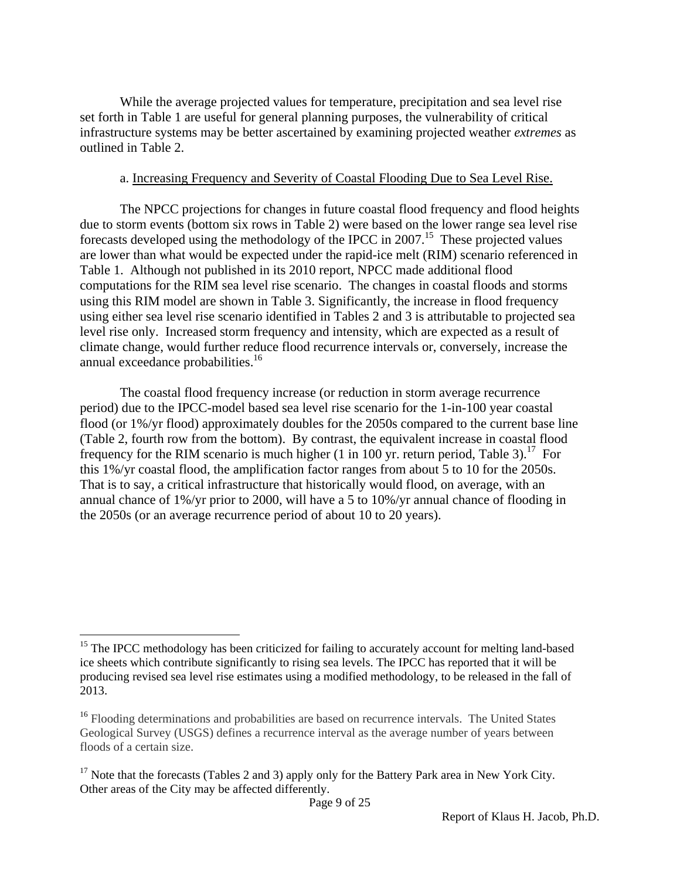While the average projected values for temperature, precipitation and sea level rise set forth in Table 1 are useful for general planning purposes, the vulnerability of critical infrastructure systems may be better ascertained by examining projected weather *extremes* as outlined in Table 2.

#### a. Increasing Frequency and Severity of Coastal Flooding Due to Sea Level Rise.

The NPCC projections for changes in future coastal flood frequency and flood heights due to storm events (bottom six rows in Table 2) were based on the lower range sea level rise forecasts developed using the methodology of the IPCC in 2007.15 These projected values are lower than what would be expected under the rapid-ice melt (RIM) scenario referenced in Table 1. Although not published in its 2010 report, NPCC made additional flood computations for the RIM sea level rise scenario. The changes in coastal floods and storms using this RIM model are shown in Table 3. Significantly, the increase in flood frequency using either sea level rise scenario identified in Tables 2 and 3 is attributable to projected sea level rise only. Increased storm frequency and intensity, which are expected as a result of climate change, would further reduce flood recurrence intervals or, conversely, increase the annual exceedance probabilities.<sup>16</sup>

The coastal flood frequency increase (or reduction in storm average recurrence period) due to the IPCC-model based sea level rise scenario for the 1-in-100 year coastal flood (or 1%/yr flood) approximately doubles for the 2050s compared to the current base line (Table 2, fourth row from the bottom). By contrast, the equivalent increase in coastal flood frequency for the RIM scenario is much higher  $(1 \text{ in } 100 \text{ yr})$  return period, Table 3).<sup>17</sup> For this 1%/yr coastal flood, the amplification factor ranges from about 5 to 10 for the 2050s. That is to say, a critical infrastructure that historically would flood, on average, with an annual chance of 1%/yr prior to 2000, will have a 5 to 10%/yr annual chance of flooding in the 2050s (or an average recurrence period of about 10 to 20 years).

1

<sup>&</sup>lt;sup>15</sup> The IPCC methodology has been criticized for failing to accurately account for melting land-based ice sheets which contribute significantly to rising sea levels. The IPCC has reported that it will be producing revised sea level rise estimates using a modified methodology, to be released in the fall of 2013.

<sup>&</sup>lt;sup>16</sup> Flooding determinations and probabilities are based on recurrence intervals. The United States Geological Survey (USGS) defines a recurrence interval as the average number of years between floods of a certain size.

<sup>&</sup>lt;sup>17</sup> Note that the forecasts (Tables 2 and 3) apply only for the Battery Park area in New York City. Other areas of the City may be affected differently.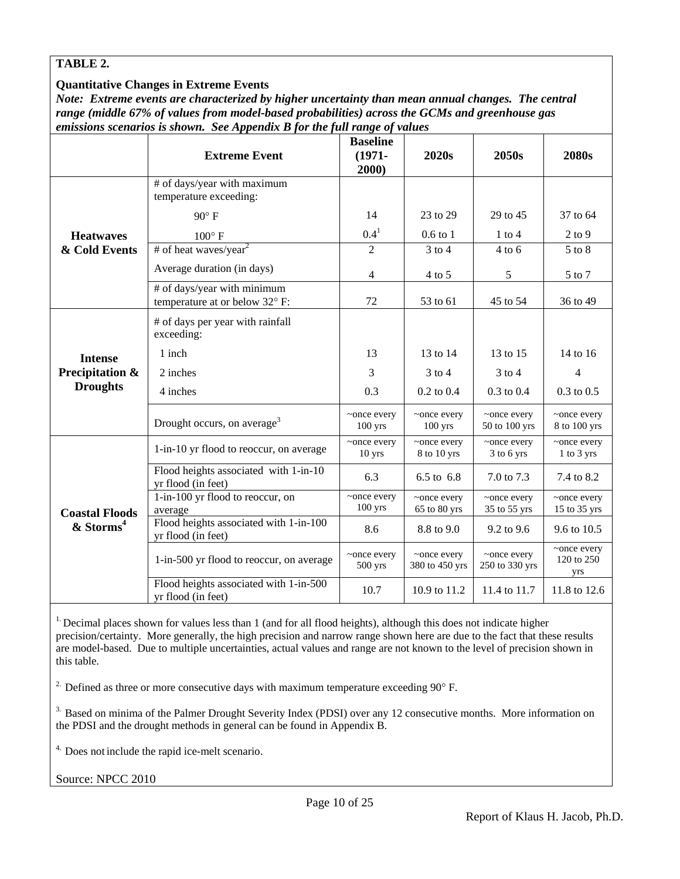#### **TABLE 2.**

#### **Quantitative Changes in Extreme Events**

*Note: Extreme events are characterized by higher uncertainty than mean annual changes. The central range (middle 67% of values from model-based probabilities) across the GCMs and greenhouse gas emissions scenarios is shown. See Appendix B for the full range of values*

|                       | <b>Extreme Event</b>                                                 | <b>Baseline</b><br>$(1971 -$<br>2000) | 2020s                         | 2050s                         | 2080s                            |
|-----------------------|----------------------------------------------------------------------|---------------------------------------|-------------------------------|-------------------------------|----------------------------------|
|                       | # of days/year with maximum<br>temperature exceeding:                |                                       |                               |                               |                                  |
|                       | $90^\circ$ F                                                         | 14                                    | 23 to 29                      | 29 to 45                      | 37 to 64                         |
| <b>Heatwaves</b>      | $100^{\circ}$ F                                                      | $0.4^{1}$                             | $0.6$ to $1$                  | $1$ to $4$                    | $2$ to $9$                       |
| & Cold Events         | # of heat waves/year <sup>2</sup>                                    | $\overline{2}$                        | $3$ to $4$                    | $4$ to 6                      | $5$ to $8$                       |
|                       | Average duration (in days)                                           | 4                                     | $4$ to 5                      | 5                             | 5 to 7                           |
|                       | # of days/year with minimum<br>temperature at or below 32° F:        | 72                                    | 53 to 61                      | 45 to 54                      | 36 to 49                         |
|                       | # of days per year with rainfall<br>exceeding:                       |                                       |                               |                               |                                  |
| <b>Intense</b>        | 1 inch                                                               | 13                                    | 13 to 14                      | 13 to 15                      | 14 to 16                         |
| Precipitation &       | 2 inches                                                             | 3                                     | $3$ to $4$                    | $3$ to $4$                    | 4                                |
| <b>Droughts</b>       | 4 inches                                                             | 0.3                                   | $0.2$ to $0.4$                | $0.3$ to $0.4$                | $0.3$ to $0.5$                   |
|                       | Drought occurs, on average <sup>3</sup>                              | ~once every<br>$100$ yrs              | ~once every<br>$100$ yrs      | ~once every<br>50 to 100 yrs  | ~once every<br>8 to 100 yrs      |
|                       | 1-in-10 yr flood to reoccur, on average                              | ~once every<br>$10$ yrs               | ~once every<br>8 to 10 yrs    | ~once every<br>3 to 6 yrs     | ~once every<br>$1$ to $3$ yrs    |
|                       | Flood heights associated with $1-\text{in-10}$<br>yr flood (in feet) | 6.3                                   | 6.5 to 6.8                    | 7.0 to 7.3                    | 7.4 to 8.2                       |
| <b>Coastal Floods</b> | 1-in-100 yr flood to reoccur, on<br>average                          | ~once every<br>$100$ yrs              | ~once every<br>65 to 80 yrs   | ~once every<br>35 to 55 yrs   | ~once every<br>15 to 35 yrs      |
| & Storms <sup>4</sup> | Flood heights associated with 1-in-100<br>yr flood (in feet)         | 8.6                                   | 8.8 to 9.0                    | 9.2 to 9.6                    | 9.6 to 10.5                      |
|                       | 1-in-500 yr flood to reoccur, on average                             | ~once every<br>500 yrs                | ~once every<br>380 to 450 yrs | ~once every<br>250 to 330 yrs | ~once every<br>120 to 250<br>yrs |
|                       | Flood heights associated with 1-in-500<br>yr flood (in feet)         | 10.7                                  | 10.9 to 11.2                  | 11.4 to 11.7                  | 11.8 to 12.6                     |

<sup>1</sup>. Decimal places shown for values less than 1 (and for all flood heights), although this does not indicate higher precision/certainty. More generally, the high precision and narrow range shown here are due to the fact that these results are model-based. Due to multiple uncertainties, actual values and range are not known to the level of precision shown in this table.

<sup>2</sup>. Defined as three or more consecutive days with maximum temperature exceeding  $90^{\circ}$  F.

<sup>3.</sup> Based on minima of the Palmer Drought Severity Index (PDSI) over any 12 consecutive months. More information on the PDSI and the drought methods in general can be found in Appendix B.

<sup>4.</sup> Does not include the rapid ice-melt scenario.

Source: NPCC 2010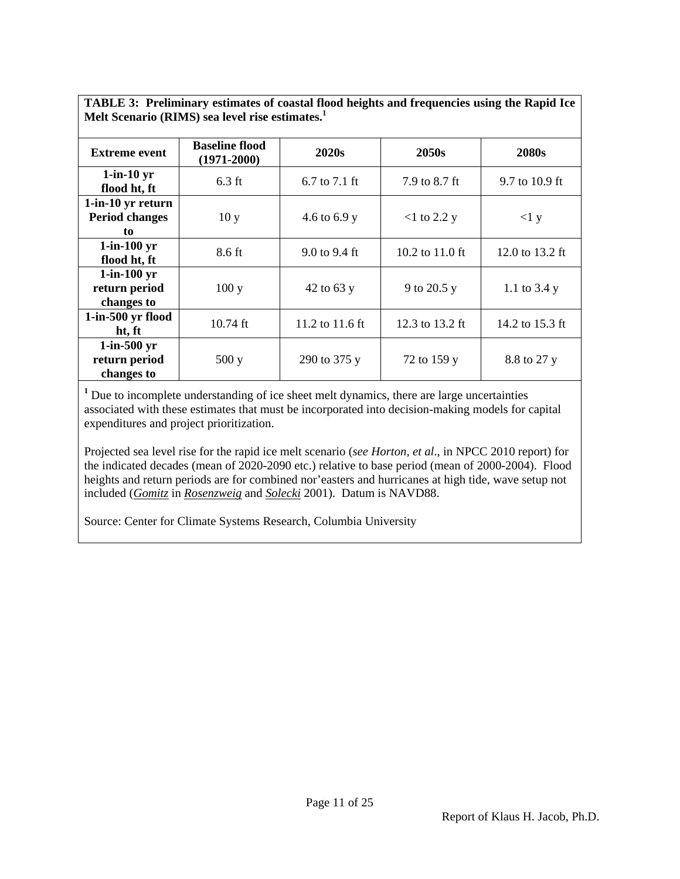| Melt Scenario (RIMS) sea level rise estimates.           |                                          |                 |                           |                 |  |  |
|----------------------------------------------------------|------------------------------------------|-----------------|---------------------------|-----------------|--|--|
| <b>Extreme event</b>                                     | <b>Baseline flood</b><br>$(1971 - 2000)$ | 2020s           | 2050s                     | 2080s           |  |  |
| $1$ -in- $10 \text{ yr}$<br>flood ht, ft                 | $6.3$ ft                                 | 6.7 to 7.1 ft   | 7.9 to 8.7 ft             | 9.7 to 10.9 ft  |  |  |
| 1-in-10 yr return<br><b>Period changes</b><br>to         | 10y                                      | 4.6 to 6.9 y    | $<$ 1 to 2.2 y            | <1 y            |  |  |
| $1$ -in- $100 \text{ yr}$<br>flood ht, ft                | 8.6 ft                                   | 9.0 to 9.4 ft   | 10.2 to $11.0 \text{ ft}$ | 12.0 to 13.2 ft |  |  |
| $1$ -in- $100 \text{ yr}$<br>return period<br>changes to | 100y                                     | 42 to 63 $y$    | 9 to 20.5 y               | 1.1 to $3.4 y$  |  |  |
| $1$ -in-500 yr flood<br>ht, ft                           | $10.74$ ft                               | 11.2 to 11.6 ft | 12.3 to 13.2 ft           | 14.2 to 15.3 ft |  |  |
| $1$ -in-500 yr<br>return period<br>changes to            | 500y                                     | 290 to 375 y    | 72 to 159 y               | 8.8 to 27 y     |  |  |

**TABLE 3: Preliminary estimates of coastal flood heights and frequencies using the Rapid Ice Melt Scenario (RIMS) sea level rise estimates.1** 

<sup>1</sup> Due to incomplete understanding of ice sheet melt dynamics, there are large uncertainties associated with these estimates that must be incorporated into decision-making models for capital expenditures and project prioritization.

Projected sea level rise for the rapid ice melt scenario (*see Horton, et al*., in NPCC 2010 report) for the indicated decades (mean of 2020-2090 etc.) relative to base period (mean of 2000-2004). Flood heights and return periods are for combined nor'easters and hurricanes at high tide, wave setup not included (*Gomitz* in *Rosenzweig* and *Solecki* 2001). Datum is NAVD88.

Source: Center for Climate Systems Research, Columbia University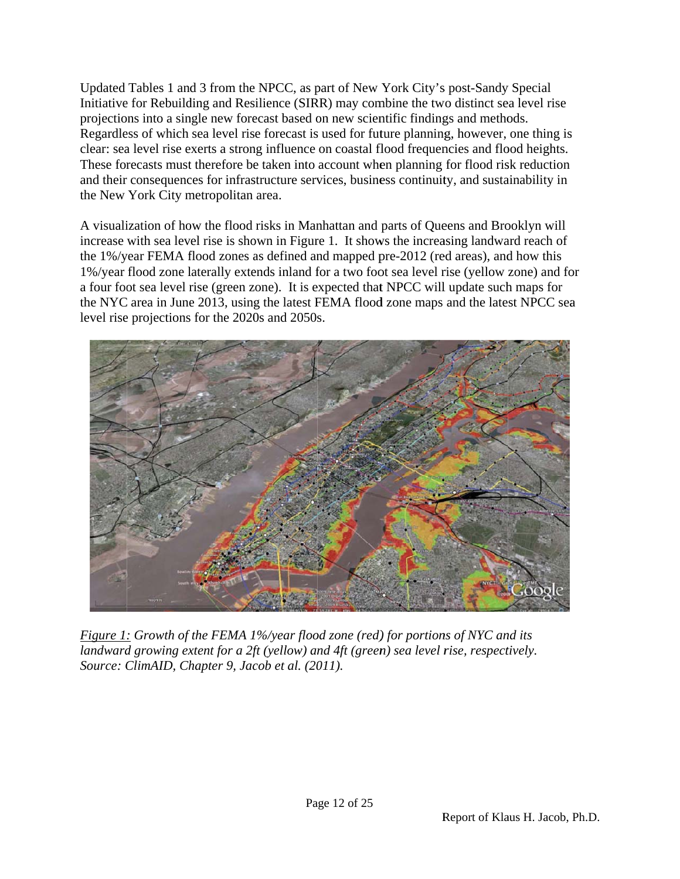Updated Tables 1 and 3 from the NPCC, as part of New York City's post-Sandy Special Initiative for Rebuilding and Resilience (SIRR) may combine the two distinct sea level rise projections into a single new forecast based on new scientific findings and methods. Regardless of which sea level rise forecast is used for future planning, however, one thing is clear: sea level rise exerts a strong influence on coastal flood frequencies and flood heights. These forecasts must therefore be taken into account when planning for flood risk reduction and their consequences for infrastructure services, business continuity, and sustainability in the New York City metropolitan area.

A visualization of how the flood risks in Manhattan and parts of Queens and Brooklyn will increase with sea level rise is shown in Figure 1. It shows the increasing landward reach of the 1%/year FEMA flood zones as defined and mapped pre-2012 (red areas), and how this 1%/year flood zone laterally extends inland for a two foot sea level rise (yellow zone) and fo a four foot sea level rise (green zone). It is expected that NPCC will update such maps for the NYC area in June 2013, using the latest FEMA flood zone maps and the latest NPCC sea level rise projections for the 2020s and 2050s. s<br>
1<br>
.<br>
.<br>
.<br>
.



*Figure 1: Growth of the FEMA 1%/year flood zone (red)* for portions of NYC and its *landward growing extent for a 2ft (yellow) and 4ft (green) sea level rise, respectively. Source: ClimAID, Chapter 9, Jacob et al. (2011).*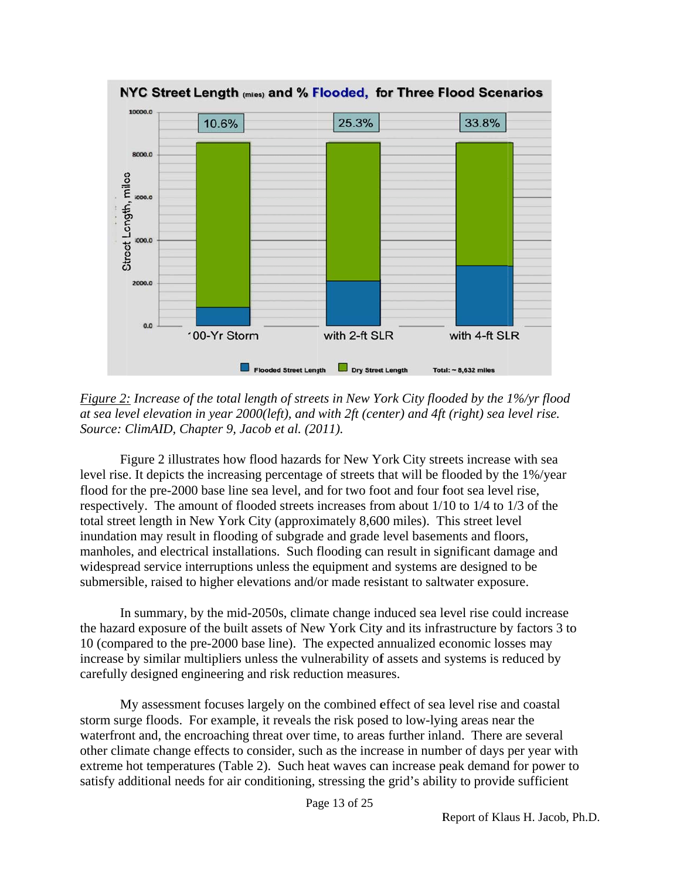

*Figure 2: Increase of the total length of streets in New York City flooded by the 1%/yr flood at sea level elevation in year 2000(left), and with 2ft (center) and 4ft (right) sea level rise. Source: ClimAID, Chapter 9, Jacob et al. (2011).* 

Figure 2 illustrates how flood hazards for New York City streets increase with sea level rise. It depicts the increasing percentage of streets that will be flooded by the 1%/year flood for the pre-2000 base line sea level, and for two foot and four foot sea level rise, respectively. The amount of flooded streets increases from about 1/10 to 1/4 to 1/3 of the total street length in New York City (approximately 8,600 miles). This street level inundation may result in flooding of subgrade and grade level basements and floors, manholes, and electrical installations. Such flooding can result in significant damage and widespread service interruptions unless the equipment and systems are designed to be submersible, raised to higher elevations and/or made resistant to saltwater exposure.

In summary, by the mid-2050s, climate change induced sea level rise could increase the hazard exposure of the built assets of New York City and its infrastructure by factors 3 to 10 (compared to the pre-2000 base line). The expected annualized economic losses may increase by similar multipliers unless the vulnerability of assets and systems is reduced by carefully designed engineering and risk reduction measures.

My assessment focuses largely on the combined effect of sea level rise and coastal storm surge floods. For example, it reveals the risk posed to low-lying areas near the waterfront and, the encroaching threat over time, to areas further inland. There are several other climate change effects to consider, such as the increase in number of days per year wit extreme hot temperatures (Table 2). Such heat waves can increase peak demand for power to satisfy additional needs for air conditioning, stressing the grid's ability to provide sufficient to<br>th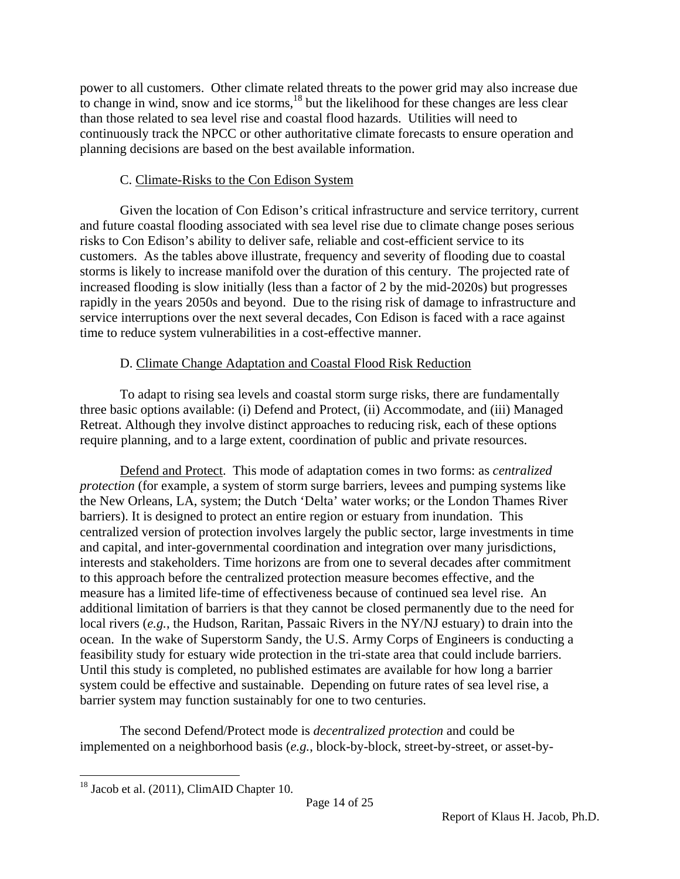power to all customers. Other climate related threats to the power grid may also increase due to change in wind, snow and ice storms, $18$  but the likelihood for these changes are less clear than those related to sea level rise and coastal flood hazards. Utilities will need to continuously track the NPCC or other authoritative climate forecasts to ensure operation and planning decisions are based on the best available information.

## C. Climate-Risks to the Con Edison System

Given the location of Con Edison's critical infrastructure and service territory, current and future coastal flooding associated with sea level rise due to climate change poses serious risks to Con Edison's ability to deliver safe, reliable and cost-efficient service to its customers. As the tables above illustrate, frequency and severity of flooding due to coastal storms is likely to increase manifold over the duration of this century. The projected rate of increased flooding is slow initially (less than a factor of 2 by the mid-2020s) but progresses rapidly in the years 2050s and beyond. Due to the rising risk of damage to infrastructure and service interruptions over the next several decades, Con Edison is faced with a race against time to reduce system vulnerabilities in a cost-effective manner.

# D. Climate Change Adaptation and Coastal Flood Risk Reduction

To adapt to rising sea levels and coastal storm surge risks, there are fundamentally three basic options available: (i) Defend and Protect, (ii) Accommodate, and (iii) Managed Retreat. Although they involve distinct approaches to reducing risk, each of these options require planning, and to a large extent, coordination of public and private resources.

Defend and Protect. This mode of adaptation comes in two forms: as *centralized protection* (for example, a system of storm surge barriers, levees and pumping systems like the New Orleans, LA, system; the Dutch 'Delta' water works; or the London Thames River barriers). It is designed to protect an entire region or estuary from inundation. This centralized version of protection involves largely the public sector, large investments in time and capital, and inter-governmental coordination and integration over many jurisdictions, interests and stakeholders. Time horizons are from one to several decades after commitment to this approach before the centralized protection measure becomes effective, and the measure has a limited life-time of effectiveness because of continued sea level rise. An additional limitation of barriers is that they cannot be closed permanently due to the need for local rivers (*e.g.*, the Hudson, Raritan, Passaic Rivers in the NY/NJ estuary) to drain into the ocean. In the wake of Superstorm Sandy, the U.S. Army Corps of Engineers is conducting a feasibility study for estuary wide protection in the tri-state area that could include barriers. Until this study is completed, no published estimates are available for how long a barrier system could be effective and sustainable. Depending on future rates of sea level rise, a barrier system may function sustainably for one to two centuries.

The second Defend/Protect mode is *decentralized protection* and could be implemented on a neighborhood basis (*e.g.*, block-by-block, street-by-street, or asset-by-

 $\overline{a}$ <sup>18</sup> Jacob et al. (2011), ClimAID Chapter 10.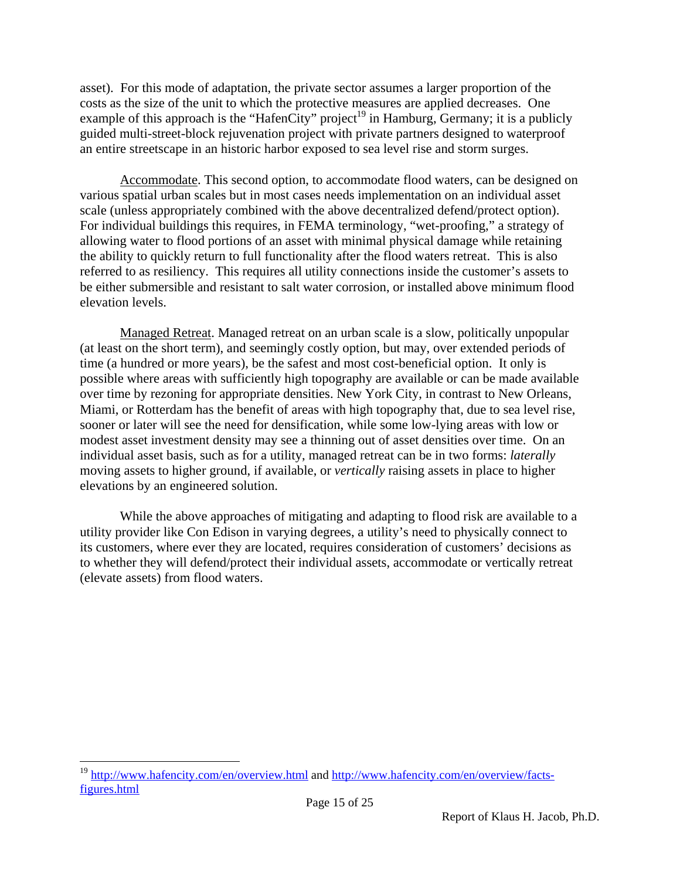asset). For this mode of adaptation, the private sector assumes a larger proportion of the costs as the size of the unit to which the protective measures are applied decreases. One example of this approach is the "HafenCity" project<sup>19</sup> in Hamburg, Germany; it is a publicly guided multi-street-block rejuvenation project with private partners designed to waterproof an entire streetscape in an historic harbor exposed to sea level rise and storm surges.

Accommodate. This second option, to accommodate flood waters, can be designed on various spatial urban scales but in most cases needs implementation on an individual asset scale (unless appropriately combined with the above decentralized defend/protect option). For individual buildings this requires, in FEMA terminology, "wet-proofing," a strategy of allowing water to flood portions of an asset with minimal physical damage while retaining the ability to quickly return to full functionality after the flood waters retreat. This is also referred to as resiliency. This requires all utility connections inside the customer's assets to be either submersible and resistant to salt water corrosion, or installed above minimum flood elevation levels.

Managed Retreat. Managed retreat on an urban scale is a slow, politically unpopular (at least on the short term), and seemingly costly option, but may, over extended periods of time (a hundred or more years), be the safest and most cost-beneficial option. It only is possible where areas with sufficiently high topography are available or can be made available over time by rezoning for appropriate densities. New York City, in contrast to New Orleans, Miami, or Rotterdam has the benefit of areas with high topography that, due to sea level rise, sooner or later will see the need for densification, while some low-lying areas with low or modest asset investment density may see a thinning out of asset densities over time. On an individual asset basis, such as for a utility, managed retreat can be in two forms: *laterally* moving assets to higher ground, if available, or *vertically* raising assets in place to higher elevations by an engineered solution.

While the above approaches of mitigating and adapting to flood risk are available to a utility provider like Con Edison in varying degrees, a utility's need to physically connect to its customers, where ever they are located, requires consideration of customers' decisions as to whether they will defend/protect their individual assets, accommodate or vertically retreat (elevate assets) from flood waters.

 $\overline{a}$ 

<sup>&</sup>lt;sup>19</sup> http://www.hafencity.com/en/overview.html and http://www.hafencity.com/en/overview/factsfigures.html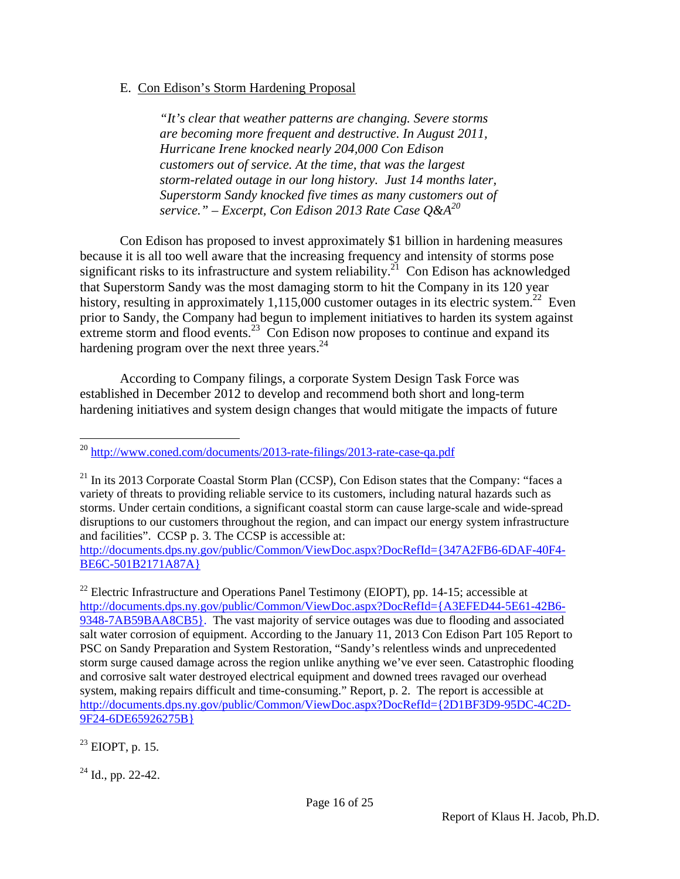### E. Con Edison's Storm Hardening Proposal

*"It's clear that weather patterns are changing. Severe storms are becoming more frequent and destructive. In August 2011, Hurricane Irene knocked nearly 204,000 Con Edison customers out of service. At the time, that was the largest storm-related outage in our long history. Just 14 months later, Superstorm Sandy knocked five times as many customers out of service." – Excerpt, Con Edison 2013 Rate Case Q&A20* 

Con Edison has proposed to invest approximately \$1 billion in hardening measures because it is all too well aware that the increasing frequency and intensity of storms pose significant risks to its infrastructure and system reliability.<sup>21</sup> Con Edison has acknowledged that Superstorm Sandy was the most damaging storm to hit the Company in its 120 year history, resulting in approximately 1,115,000 customer outages in its electric system.<sup>22</sup> Even prior to Sandy, the Company had begun to implement initiatives to harden its system against extreme storm and flood events.<sup>23</sup> Con Edison now proposes to continue and expand its hardening program over the next three years. $^{24}$ 

According to Company filings, a corporate System Design Task Force was established in December 2012 to develop and recommend both short and long-term hardening initiatives and system design changes that would mitigate the impacts of future

http://documents.dps.ny.gov/public/Common/ViewDoc.aspx?DocRefId={347A2FB6-6DAF-40F4- BE6C-501B2171A87A}

 $^{23}$  EIOPT, p. 15.

 $24$  Id., pp. 22-42.

 $\overline{a}$ <sup>20</sup> http://www.coned.com/documents/2013-rate-filings/2013-rate-case-qa.pdf

 $^{21}$  In its 2013 Corporate Coastal Storm Plan (CCSP), Con Edison states that the Company: "faces a variety of threats to providing reliable service to its customers, including natural hazards such as storms. Under certain conditions, a significant coastal storm can cause large-scale and wide-spread disruptions to our customers throughout the region, and can impact our energy system infrastructure and facilities". CCSP p. 3. The CCSP is accessible at:

<sup>&</sup>lt;sup>22</sup> Electric Infrastructure and Operations Panel Testimony (EIOPT), pp. 14-15; accessible at http://documents.dps.ny.gov/public/Common/ViewDoc.aspx?DocRefId={A3EFED44-5E61-42B6- 9348-7AB59BAA8CB5}. The vast majority of service outages was due to flooding and associated salt water corrosion of equipment. According to the January 11, 2013 Con Edison Part 105 Report to PSC on Sandy Preparation and System Restoration, "Sandy's relentless winds and unprecedented storm surge caused damage across the region unlike anything we've ever seen. Catastrophic flooding and corrosive salt water destroyed electrical equipment and downed trees ravaged our overhead system, making repairs difficult and time-consuming." Report, p. 2. The report is accessible at http://documents.dps.ny.gov/public/Common/ViewDoc.aspx?DocRefId={2D1BF3D9-95DC-4C2D-9F24-6DE65926275B}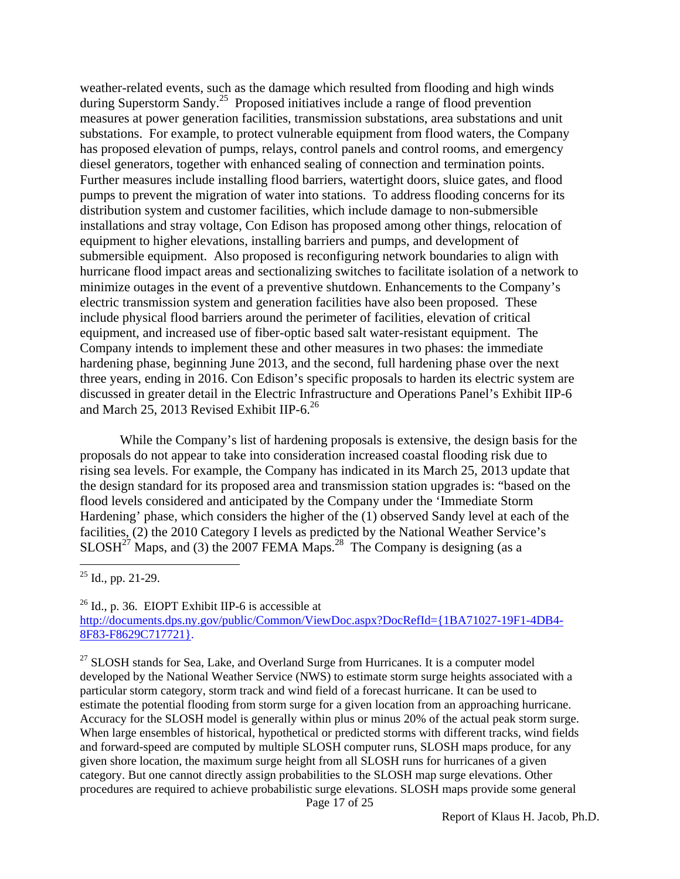weather-related events, such as the damage which resulted from flooding and high winds during Superstorm Sandy.<sup>25</sup> Proposed initiatives include a range of flood prevention measures at power generation facilities, transmission substations, area substations and unit substations. For example, to protect vulnerable equipment from flood waters, the Company has proposed elevation of pumps, relays, control panels and control rooms, and emergency diesel generators, together with enhanced sealing of connection and termination points. Further measures include installing flood barriers, watertight doors, sluice gates, and flood pumps to prevent the migration of water into stations. To address flooding concerns for its distribution system and customer facilities, which include damage to non-submersible installations and stray voltage, Con Edison has proposed among other things, relocation of equipment to higher elevations, installing barriers and pumps, and development of submersible equipment. Also proposed is reconfiguring network boundaries to align with hurricane flood impact areas and sectionalizing switches to facilitate isolation of a network to minimize outages in the event of a preventive shutdown. Enhancements to the Company's electric transmission system and generation facilities have also been proposed. These include physical flood barriers around the perimeter of facilities, elevation of critical equipment, and increased use of fiber-optic based salt water-resistant equipment. The Company intends to implement these and other measures in two phases: the immediate hardening phase, beginning June 2013, and the second, full hardening phase over the next three years, ending in 2016. Con Edison's specific proposals to harden its electric system are discussed in greater detail in the Electric Infrastructure and Operations Panel's Exhibit IIP-6 and March 25, 2013 Revised Exhibit IIP-6.<sup>26</sup>

While the Company's list of hardening proposals is extensive, the design basis for the proposals do not appear to take into consideration increased coastal flooding risk due to rising sea levels. For example, the Company has indicated in its March 25, 2013 update that the design standard for its proposed area and transmission station upgrades is: "based on the flood levels considered and anticipated by the Company under the 'Immediate Storm Hardening' phase, which considers the higher of the (1) observed Sandy level at each of the facilities, (2) the 2010 Category I levels as predicted by the National Weather Service's  $SLOSH<sup>27</sup>$  Maps, and (3) the 2007 FEMA Maps.<sup>28</sup> The Company is designing (as a

 $25$  Id., pp. 21-29.

 $\overline{a}$ 

 $^{26}$  Id., p. 36. EIOPT Exhibit IIP-6 is accessible at http://documents.dps.ny.gov/public/Common/ViewDoc.aspx?DocRefId={1BA71027-19F1-4DB4- 8F83-F8629C717721}.

Page 17 of 25  $27$  SLOSH stands for Sea, Lake, and Overland Surge from Hurricanes. It is a computer model developed by the National Weather Service (NWS) to estimate storm surge heights associated with a particular storm category, storm track and wind field of a forecast hurricane. It can be used to estimate the potential flooding from storm surge for a given location from an approaching hurricane. Accuracy for the SLOSH model is generally within plus or minus 20% of the actual peak storm surge. When large ensembles of historical, hypothetical or predicted storms with different tracks, wind fields and forward-speed are computed by multiple SLOSH computer runs, SLOSH maps produce, for any given shore location, the maximum surge height from all SLOSH runs for hurricanes of a given category. But one cannot directly assign probabilities to the SLOSH map surge elevations. Other procedures are required to achieve probabilistic surge elevations. SLOSH maps provide some general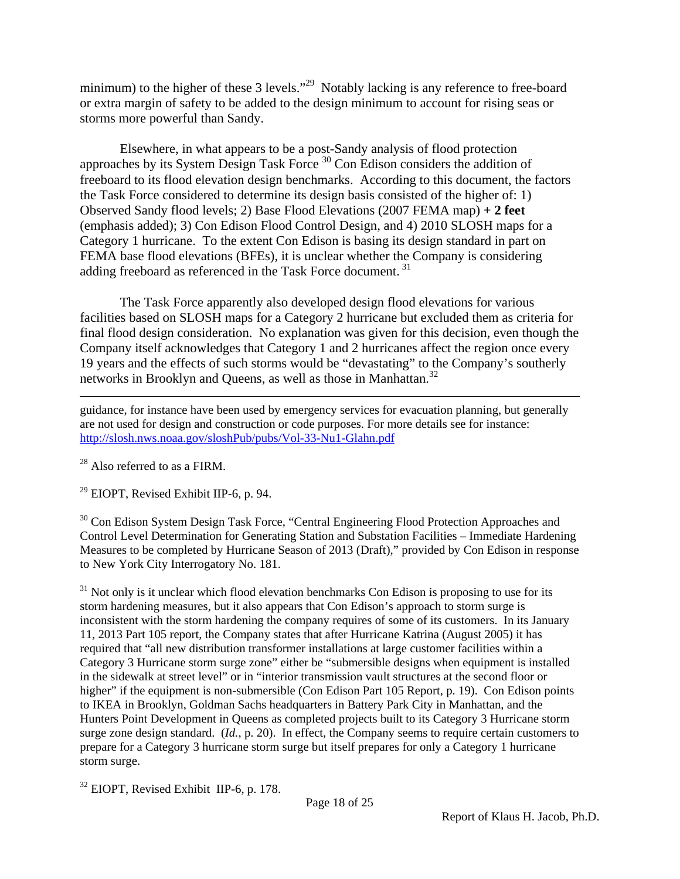minimum) to the higher of these 3 levels."<sup>29</sup> Notably lacking is any reference to free-board or extra margin of safety to be added to the design minimum to account for rising seas or storms more powerful than Sandy.

Elsewhere, in what appears to be a post-Sandy analysis of flood protection approaches by its System Design Task Force 30 Con Edison considers the addition of freeboard to its flood elevation design benchmarks. According to this document, the factors the Task Force considered to determine its design basis consisted of the higher of: 1) Observed Sandy flood levels; 2) Base Flood Elevations (2007 FEMA map) **+ 2 feet**  (emphasis added); 3) Con Edison Flood Control Design, and 4) 2010 SLOSH maps for a Category 1 hurricane. To the extent Con Edison is basing its design standard in part on FEMA base flood elevations (BFEs), it is unclear whether the Company is considering adding freeboard as referenced in the Task Force document.<sup>31</sup>

The Task Force apparently also developed design flood elevations for various facilities based on SLOSH maps for a Category 2 hurricane but excluded them as criteria for final flood design consideration. No explanation was given for this decision, even though the Company itself acknowledges that Category 1 and 2 hurricanes affect the region once every 19 years and the effects of such storms would be "devastating" to the Company's southerly networks in Brooklyn and Queens, as well as those in Manhattan.<sup>32</sup>

guidance, for instance have been used by emergency services for evacuation planning, but generally are not used for design and construction or code purposes. For more details see for instance: http://slosh.nws.noaa.gov/sloshPub/pubs/Vol-33-Nu1-Glahn.pdf

 $^{28}$  Also referred to as a FIRM.

 $\overline{a}$ 

 $29$  EIOPT, Revised Exhibit IIP-6, p. 94.

<sup>30</sup> Con Edison System Design Task Force, "Central Engineering Flood Protection Approaches and Control Level Determination for Generating Station and Substation Facilities – Immediate Hardening Measures to be completed by Hurricane Season of 2013 (Draft)," provided by Con Edison in response to New York City Interrogatory No. 181.

 $31$  Not only is it unclear which flood elevation benchmarks Con Edison is proposing to use for its storm hardening measures, but it also appears that Con Edison's approach to storm surge is inconsistent with the storm hardening the company requires of some of its customers. In its January 11, 2013 Part 105 report, the Company states that after Hurricane Katrina (August 2005) it has required that "all new distribution transformer installations at large customer facilities within a Category 3 Hurricane storm surge zone" either be "submersible designs when equipment is installed in the sidewalk at street level" or in "interior transmission vault structures at the second floor or higher" if the equipment is non-submersible (Con Edison Part 105 Report, p. 19). Con Edison points to IKEA in Brooklyn, Goldman Sachs headquarters in Battery Park City in Manhattan, and the Hunters Point Development in Queens as completed projects built to its Category 3 Hurricane storm surge zone design standard. (*Id.*, p. 20). In effect, the Company seems to require certain customers to prepare for a Category 3 hurricane storm surge but itself prepares for only a Category 1 hurricane storm surge.

<sup>32</sup> EIOPT, Revised Exhibit IIP-6, p. 178.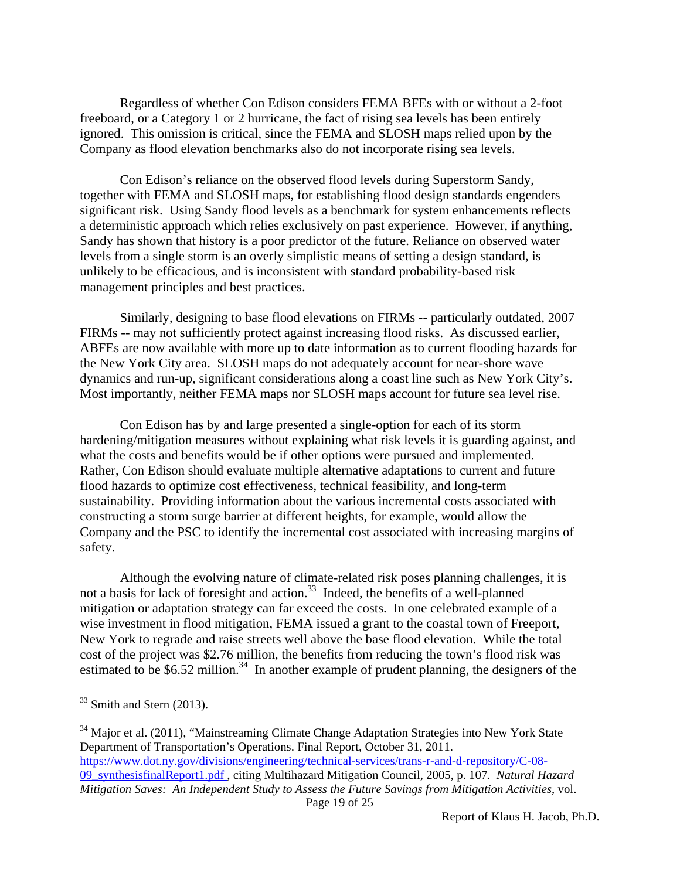Regardless of whether Con Edison considers FEMA BFEs with or without a 2-foot freeboard, or a Category 1 or 2 hurricane, the fact of rising sea levels has been entirely ignored. This omission is critical, since the FEMA and SLOSH maps relied upon by the Company as flood elevation benchmarks also do not incorporate rising sea levels.

Con Edison's reliance on the observed flood levels during Superstorm Sandy, together with FEMA and SLOSH maps, for establishing flood design standards engenders significant risk. Using Sandy flood levels as a benchmark for system enhancements reflects a deterministic approach which relies exclusively on past experience. However, if anything, Sandy has shown that history is a poor predictor of the future. Reliance on observed water levels from a single storm is an overly simplistic means of setting a design standard, is unlikely to be efficacious, and is inconsistent with standard probability-based risk management principles and best practices.

Similarly, designing to base flood elevations on FIRMs -- particularly outdated, 2007 FIRMs -- may not sufficiently protect against increasing flood risks. As discussed earlier, ABFEs are now available with more up to date information as to current flooding hazards for the New York City area. SLOSH maps do not adequately account for near-shore wave dynamics and run-up, significant considerations along a coast line such as New York City's. Most importantly, neither FEMA maps nor SLOSH maps account for future sea level rise.

Con Edison has by and large presented a single-option for each of its storm hardening/mitigation measures without explaining what risk levels it is guarding against, and what the costs and benefits would be if other options were pursued and implemented. Rather, Con Edison should evaluate multiple alternative adaptations to current and future flood hazards to optimize cost effectiveness, technical feasibility, and long-term sustainability. Providing information about the various incremental costs associated with constructing a storm surge barrier at different heights, for example, would allow the Company and the PSC to identify the incremental cost associated with increasing margins of safety.

Although the evolving nature of climate-related risk poses planning challenges, it is not a basis for lack of foresight and action.<sup>33</sup> Indeed, the benefits of a well-planned mitigation or adaptation strategy can far exceed the costs. In one celebrated example of a wise investment in flood mitigation, FEMA issued a grant to the coastal town of Freeport, New York to regrade and raise streets well above the base flood elevation. While the total cost of the project was \$2.76 million, the benefits from reducing the town's flood risk was estimated to be \$6.52 million.<sup>34</sup> In another example of prudent planning, the designers of the

 $\overline{a}$ 

Page 19 of 25 <sup>34</sup> Major et al. (2011), "Mainstreaming Climate Change Adaptation Strategies into New York State Department of Transportation's Operations. Final Report, October 31, 2011. https://www.dot.ny.gov/divisions/engineering/technical-services/trans-r-and-d-repository/C-08- 09\_synthesisfinalReport1.pdf , citing Multihazard Mitigation Council, 2005, p. 107*. Natural Hazard Mitigation Saves: An Independent Study to Assess the Future Savings from Mitigation Activities*, vol.

 $33$  Smith and Stern (2013).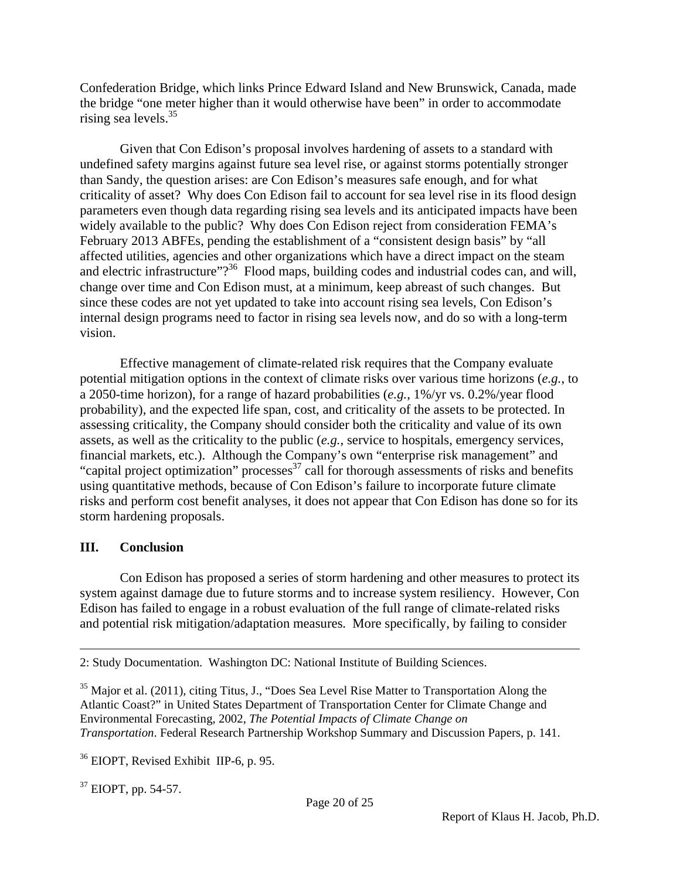Confederation Bridge, which links Prince Edward Island and New Brunswick, Canada, made the bridge "one meter higher than it would otherwise have been" in order to accommodate rising sea levels.<sup>35</sup>

Given that Con Edison's proposal involves hardening of assets to a standard with undefined safety margins against future sea level rise, or against storms potentially stronger than Sandy, the question arises: are Con Edison's measures safe enough, and for what criticality of asset? Why does Con Edison fail to account for sea level rise in its flood design parameters even though data regarding rising sea levels and its anticipated impacts have been widely available to the public? Why does Con Edison reject from consideration FEMA's February 2013 ABFEs, pending the establishment of a "consistent design basis" by "all affected utilities, agencies and other organizations which have a direct impact on the steam and electric infrastructure"?<sup>36</sup> Flood maps, building codes and industrial codes can, and will, change over time and Con Edison must, at a minimum, keep abreast of such changes. But since these codes are not yet updated to take into account rising sea levels, Con Edison's internal design programs need to factor in rising sea levels now, and do so with a long-term vision.

Effective management of climate-related risk requires that the Company evaluate potential mitigation options in the context of climate risks over various time horizons (*e.g.*, to a 2050-time horizon), for a range of hazard probabilities (*e.g.*, 1%/yr vs. 0.2%/year flood probability), and the expected life span, cost, and criticality of the assets to be protected. In assessing criticality, the Company should consider both the criticality and value of its own assets, as well as the criticality to the public (*e.g.*, service to hospitals, emergency services, financial markets, etc.). Although the Company's own "enterprise risk management" and "capital project optimization" processes $^{37}$  call for thorough assessments of risks and benefits using quantitative methods, because of Con Edison's failure to incorporate future climate risks and perform cost benefit analyses, it does not appear that Con Edison has done so for its storm hardening proposals.

### **III. Conclusion**

1

Con Edison has proposed a series of storm hardening and other measures to protect its system against damage due to future storms and to increase system resiliency. However, Con Edison has failed to engage in a robust evaluation of the full range of climate-related risks and potential risk mitigation/adaptation measures. More specifically, by failing to consider

37 EIOPT, pp. 54-57.

<sup>2:</sup> Study Documentation. Washington DC: National Institute of Building Sciences.

<sup>&</sup>lt;sup>35</sup> Major et al. (2011), citing Titus, J., "Does Sea Level Rise Matter to Transportation Along the Atlantic Coast?" in United States Department of Transportation Center for Climate Change and Environmental Forecasting, 2002, *The Potential Impacts of Climate Change on Transportation*. Federal Research Partnership Workshop Summary and Discussion Papers, p. 141.

<sup>&</sup>lt;sup>36</sup> EIOPT, Revised Exhibit IIP-6, p. 95.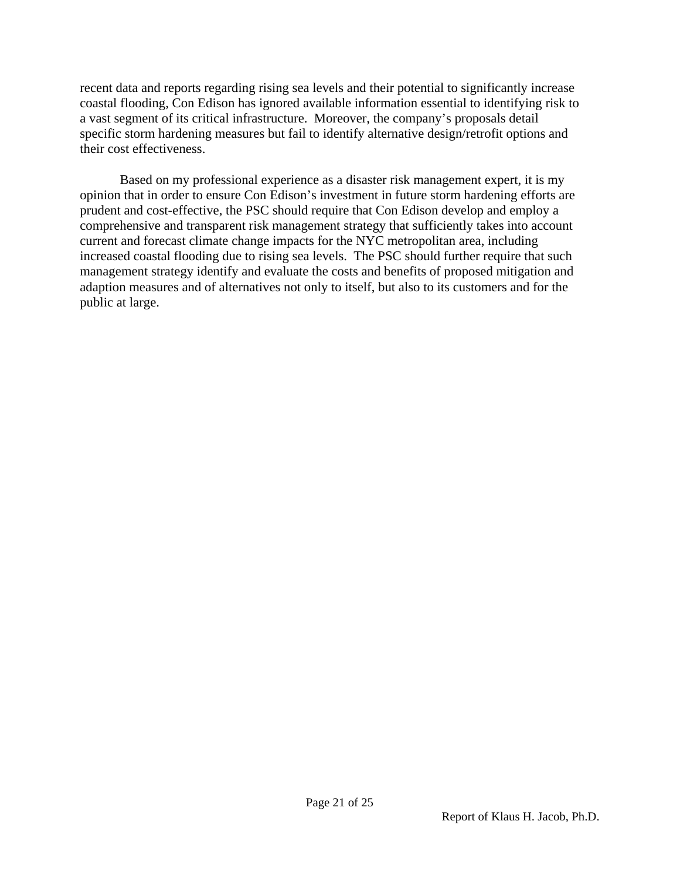recent data and reports regarding rising sea levels and their potential to significantly increase coastal flooding, Con Edison has ignored available information essential to identifying risk to a vast segment of its critical infrastructure. Moreover, the company's proposals detail specific storm hardening measures but fail to identify alternative design/retrofit options and their cost effectiveness.

Based on my professional experience as a disaster risk management expert, it is my opinion that in order to ensure Con Edison's investment in future storm hardening efforts are prudent and cost-effective, the PSC should require that Con Edison develop and employ a comprehensive and transparent risk management strategy that sufficiently takes into account current and forecast climate change impacts for the NYC metropolitan area, including increased coastal flooding due to rising sea levels. The PSC should further require that such management strategy identify and evaluate the costs and benefits of proposed mitigation and adaption measures and of alternatives not only to itself, but also to its customers and for the public at large.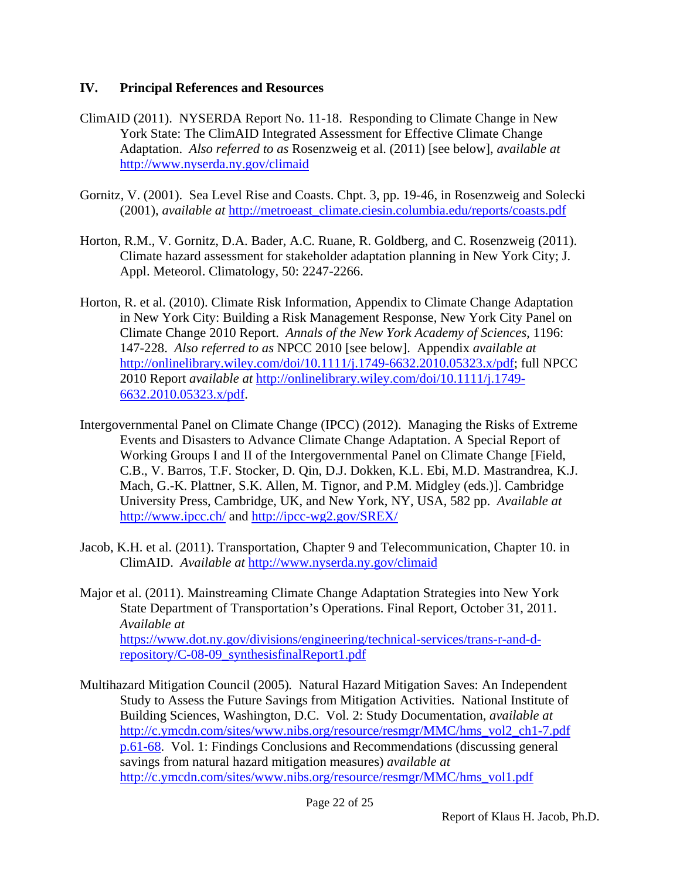### **IV. Principal References and Resources**

- ClimAID (2011). NYSERDA Report No. 11-18. Responding to Climate Change in New York State: The ClimAID Integrated Assessment for Effective Climate Change Adaptation. *Also referred to as* Rosenzweig et al. (2011) [see below], *available at* http://www.nyserda.ny.gov/climaid
- Gornitz, V. (2001). Sea Level Rise and Coasts. Chpt. 3, pp. 19-46, in Rosenzweig and Solecki (2001), *available at* http://metroeast\_climate.ciesin.columbia.edu/reports/coasts.pdf
- Horton, R.M., V. Gornitz, D.A. Bader, A.C. Ruane, R. Goldberg, and C. Rosenzweig (2011). Climate hazard assessment for stakeholder adaptation planning in New York City; J. Appl. Meteorol. Climatology, 50: 2247-2266.
- Horton, R. et al. (2010). Climate Risk Information, Appendix to Climate Change Adaptation in New York City: Building a Risk Management Response, New York City Panel on Climate Change 2010 Report. *Annals of the New York Academy of Sciences*, 1196: 147-228. *Also referred to as* NPCC 2010 [see below]. Appendix *available at* http://onlinelibrary.wiley.com/doi/10.1111/j.1749-6632.2010.05323.x/pdf; full NPCC 2010 Report *available at* http://onlinelibrary.wiley.com/doi/10.1111/j.1749- 6632.2010.05323.x/pdf.
- Intergovernmental Panel on Climate Change (IPCC) (2012). Managing the Risks of Extreme Events and Disasters to Advance Climate Change Adaptation. A Special Report of Working Groups I and II of the Intergovernmental Panel on Climate Change [Field, C.B., V. Barros, T.F. Stocker, D. Qin, D.J. Dokken, K.L. Ebi, M.D. Mastrandrea, K.J. Mach, G.-K. Plattner, S.K. Allen, M. Tignor, and P.M. Midgley (eds.)]. Cambridge University Press, Cambridge, UK, and New York, NY, USA, 582 pp. *Available at* http://www.ipcc.ch/ and http://ipcc-wg2.gov/SREX/
- Jacob, K.H. et al. (2011). Transportation, Chapter 9 and Telecommunication, Chapter 10. in ClimAID. *Available at* http://www.nyserda.ny.gov/climaid
- Major et al. (2011). Mainstreaming Climate Change Adaptation Strategies into New York State Department of Transportation's Operations. Final Report, October 31, 2011. *Available at* https://www.dot.ny.gov/divisions/engineering/technical-services/trans-r-and-drepository/C-08-09\_synthesisfinalReport1.pdf
- Multihazard Mitigation Council (2005)*.* Natural Hazard Mitigation Saves: An Independent Study to Assess the Future Savings from Mitigation Activities. National Institute of Building Sciences, Washington, D.C. Vol. 2: Study Documentation, *available at* http://c.ymcdn.com/sites/www.nibs.org/resource/resmgr/MMC/hms\_vol2\_ch1-7.pdf p.61-68. Vol. 1: Findings Conclusions and Recommendations (discussing general savings from natural hazard mitigation measures) *available at* http://c.ymcdn.com/sites/www.nibs.org/resource/resmgr/MMC/hms\_vol1.pdf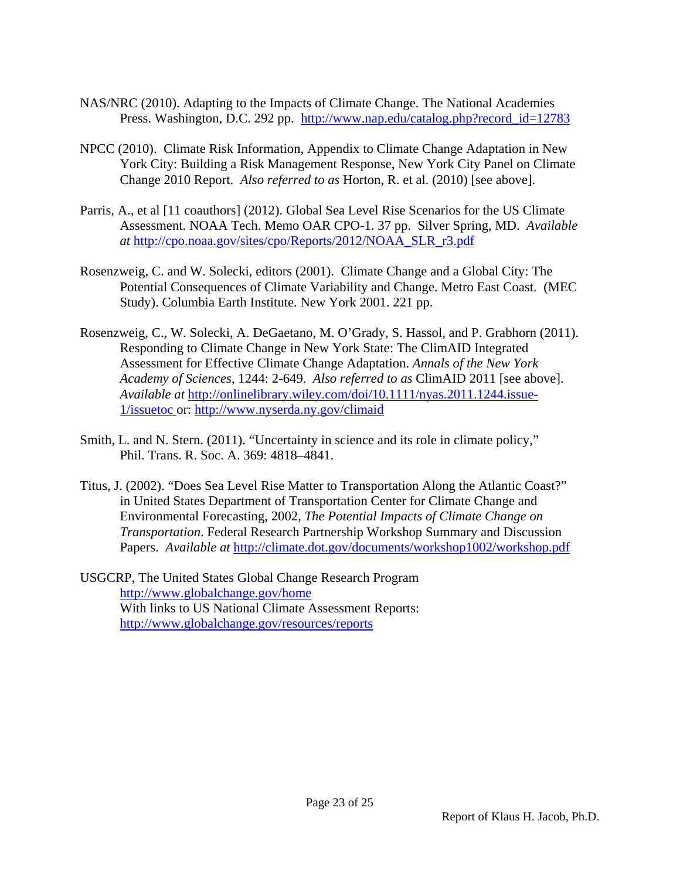- NAS/NRC (2010). Adapting to the Impacts of Climate Change. The National Academies Press. Washington, D.C. 292 pp. http://www.nap.edu/catalog.php?record\_id=12783
- NPCC (2010). Climate Risk Information, Appendix to Climate Change Adaptation in New York City: Building a Risk Management Response, New York City Panel on Climate Change 2010 Report. *Also referred to as* Horton, R. et al. (2010) [see above].
- Parris, A., et al [11 coauthors] (2012). Global Sea Level Rise Scenarios for the US Climate Assessment. NOAA Tech. Memo OAR CPO-1. 37 pp. Silver Spring, MD. *Available at* http://cpo.noaa.gov/sites/cpo/Reports/2012/NOAA\_SLR\_r3.pdf
- Rosenzweig, C. and W. Solecki, editors (2001). Climate Change and a Global City: The Potential Consequences of Climate Variability and Change. Metro East Coast. (MEC Study). Columbia Earth Institute. New York 2001. 221 pp.
- Rosenzweig, C., W. Solecki, A. DeGaetano, M. O'Grady, S. Hassol, and P. Grabhorn (2011). Responding to Climate Change in New York State: The ClimAID Integrated Assessment for Effective Climate Change Adaptation. *Annals of the New York Academy of Sciences*, 1244: 2-649. *Also referred to as* ClimAID 2011 [see above]. *Available at* http://onlinelibrary.wiley.com/doi/10.1111/nyas.2011.1244.issue-1/issuetoc or: http://www.nyserda.ny.gov/climaid
- Smith, L. and N. Stern. (2011). "Uncertainty in science and its role in climate policy," Phil. Trans. R. Soc. A. 369: 4818–4841.
- Titus, J. (2002). "Does Sea Level Rise Matter to Transportation Along the Atlantic Coast?" in United States Department of Transportation Center for Climate Change and Environmental Forecasting, 2002, *The Potential Impacts of Climate Change on Transportation*. Federal Research Partnership Workshop Summary and Discussion Papers. *Available at* http://climate.dot.gov/documents/workshop1002/workshop.pdf
- USGCRP, The United States Global Change Research Program http://www.globalchange.gov/home With links to US National Climate Assessment Reports: http://www.globalchange.gov/resources/reports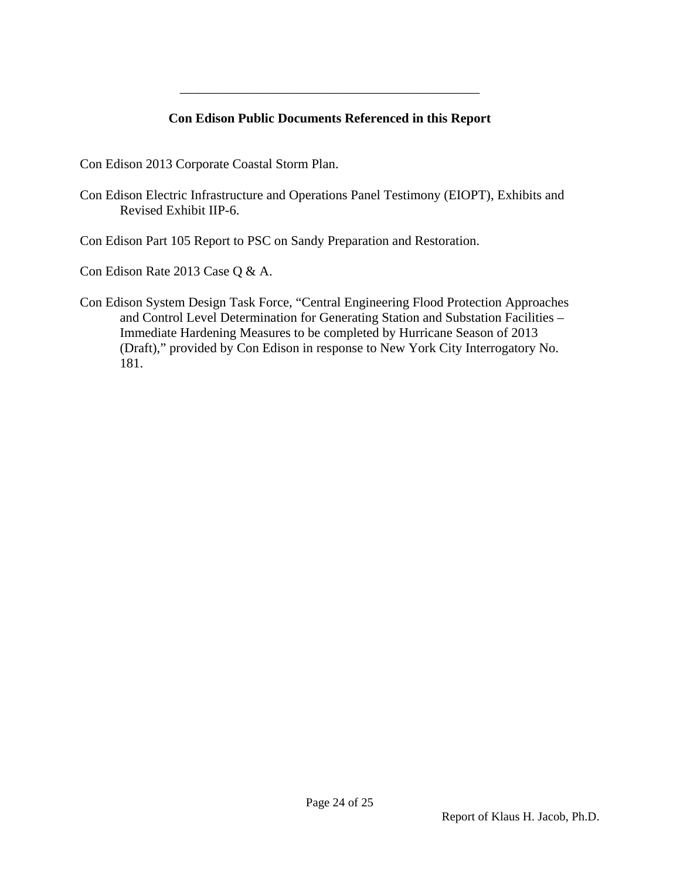## **Con Edison Public Documents Referenced in this Report**

\_\_\_\_\_\_\_\_\_\_\_\_\_\_\_\_\_\_\_\_\_\_\_\_\_\_\_\_\_\_\_\_\_\_\_\_\_\_\_\_\_\_\_\_\_

Con Edison 2013 Corporate Coastal Storm Plan.

Con Edison Electric Infrastructure and Operations Panel Testimony (EIOPT), Exhibits and Revised Exhibit IIP-6.

Con Edison Part 105 Report to PSC on Sandy Preparation and Restoration.

Con Edison Rate 2013 Case Q & A.

Con Edison System Design Task Force, "Central Engineering Flood Protection Approaches and Control Level Determination for Generating Station and Substation Facilities – Immediate Hardening Measures to be completed by Hurricane Season of 2013 (Draft)," provided by Con Edison in response to New York City Interrogatory No. 181.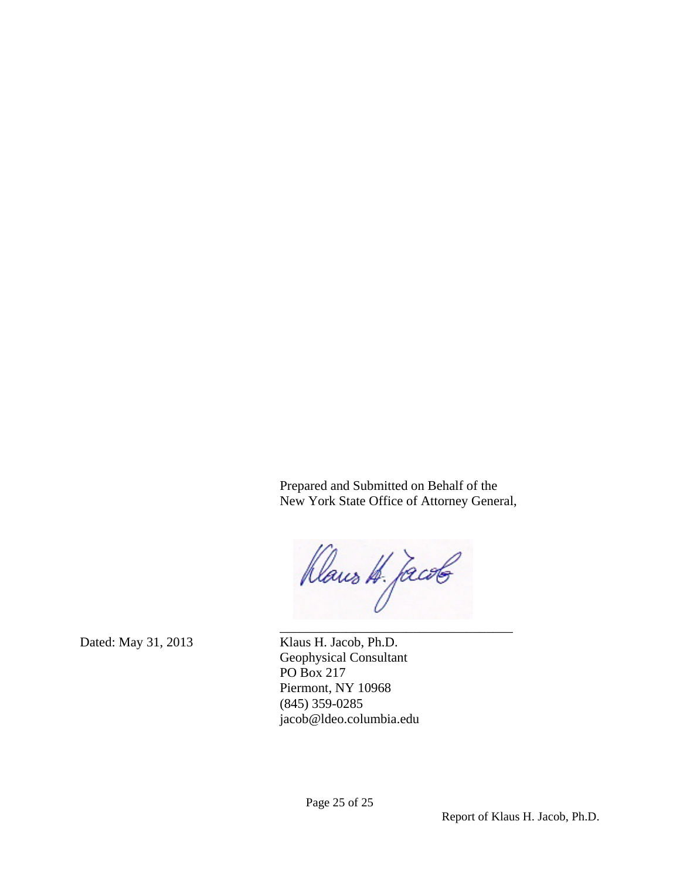Prepared and Submitted on Behalf of the New York State Office of Attorney General,

Dans H. Jacob  $\mathcal{L}_\text{max}$  and  $\mathcal{L}_\text{max}$  and  $\mathcal{L}_\text{max}$ 

Dated: May 31, 2013 Klaus H. Jacob, Ph.D. Geophysical Consultant PO Box 217 Piermont, NY 10968 (845) 359-0285 jacob@ldeo.columbia.edu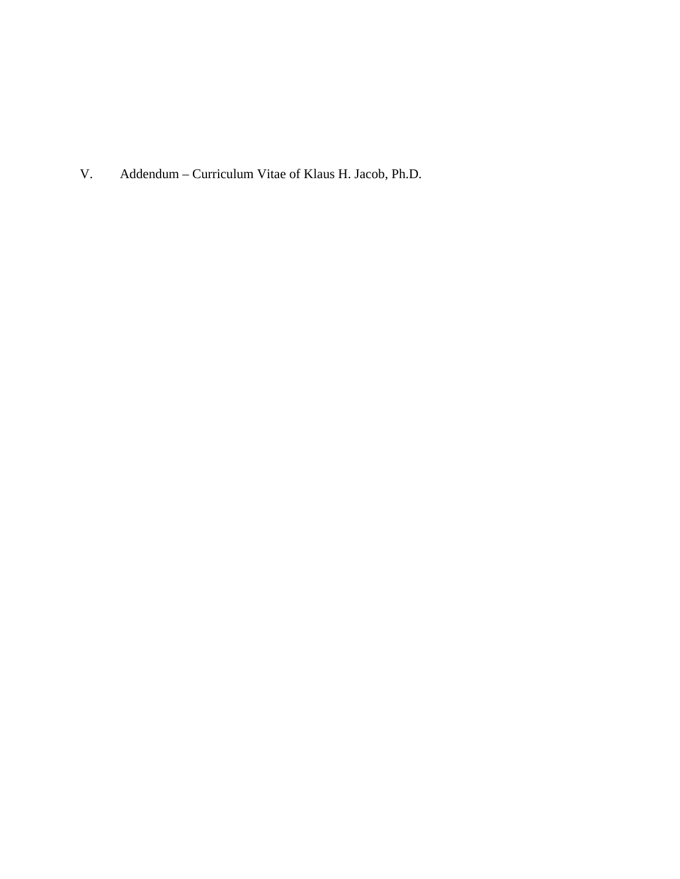V. Addendum – Curriculum Vitae of Klaus H. Jacob, Ph.D.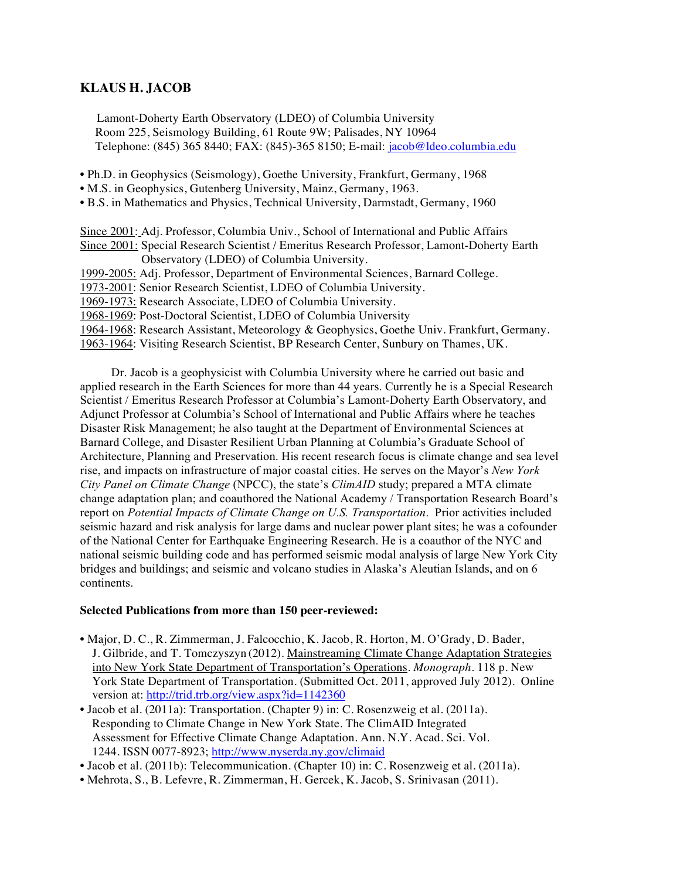#### **KLAUS H. JACOB**

Lamont-Doherty Earth Observatory (LDEO) of Columbia University Room 225, Seismology Building, 61 Route 9W; Palisades, NY 10964 Telephone: (845) 365 8440; FAX: (845)-365 8150; E-mail: jacob@ldeo.columbia.edu

- Ph.D. in Geophysics (Seismology), Goethe University, Frankfurt, Germany, 1968
- M.S. in Geophysics, Gutenberg University, Mainz, Germany, 1963.
- B.S. in Mathematics and Physics, Technical University, Darmstadt, Germany, 1960

Since 2001: Adj. Professor, Columbia Univ., School of International and Public Affairs Since 2001: Special Research Scientist / Emeritus Research Professor, Lamont-Doherty Earth Observatory (LDEO) of Columbia University.

- 1999-2005: Adj. Professor, Department of Environmental Sciences, Barnard College.
- 1973-2001: Senior Research Scientist, LDEO of Columbia University.

1969-1973: Research Associate, LDEO of Columbia University.

1968-1969: Post-Doctoral Scientist, LDEO of Columbia University

1964-1968: Research Assistant, Meteorology & Geophysics, Goethe Univ. Frankfurt, Germany.

1963-1964: Visiting Research Scientist, BP Research Center, Sunbury on Thames, UK.

Dr. Jacob is a geophysicist with Columbia University where he carried out basic and applied research in the Earth Sciences for more than 44 years. Currently he is a Special Research Scientist / Emeritus Research Professor at Columbia's Lamont-Doherty Earth Observatory, and Adjunct Professor at Columbia's School of International and Public Affairs where he teaches Disaster Risk Management; he also taught at the Department of Environmental Sciences at Barnard College, and Disaster Resilient Urban Planning at Columbia's Graduate School of Architecture, Planning and Preservation. His recent research focus is climate change and sea level rise, and impacts on infrastructure of major coastal cities. He serves on the Mayor's *New York City Panel on Climate Change* (NPCC), the state's *ClimAID* study; prepared a MTA climate change adaptation plan; and coauthored the National Academy / Transportation Research Board's report on *Potential Impacts of Climate Change on U.S. Transportation*. Prior activities included seismic hazard and risk analysis for large dams and nuclear power plant sites; he was a cofounder of the National Center for Earthquake Engineering Research. He is a coauthor of the NYC and national seismic building code and has performed seismic modal analysis of large New York City bridges and buildings; and seismic and volcano studies in Alaska's Aleutian Islands, and on 6 continents.

#### **Selected Publications from more than 150 peer-reviewed:**

- Major, D. C., R. Zimmerman, J. Falcocchio, K. Jacob, R. Horton, M. O'Grady, D. Bader, J. Gilbride, and T. Tomczyszyn (2012). Mainstreaming Climate Change Adaptation Strategies into New York State Department of Transportation's Operations. *Monograph*. 118 p. New York State Department of Transportation. (Submitted Oct. 2011, approved July 2012). Online version at: http://trid.trb.org/view.aspx?id=1142360
- Jacob et al. (2011a): Transportation. (Chapter 9) in: C. Rosenzweig et al. (2011a). Responding to Climate Change in New York State. The ClimAID Integrated Assessment for Effective Climate Change Adaptation. Ann. N.Y. Acad. Sci. Vol. 1244. ISSN 0077-8923; http://www.nyserda.ny.gov/climaid
- Jacob et al. (2011b): Telecommunication. (Chapter 10) in: C. Rosenzweig et al. (2011a).
- Mehrota, S., B. Lefevre, R. Zimmerman, H. Gercek, K. Jacob, S. Srinivasan (2011).